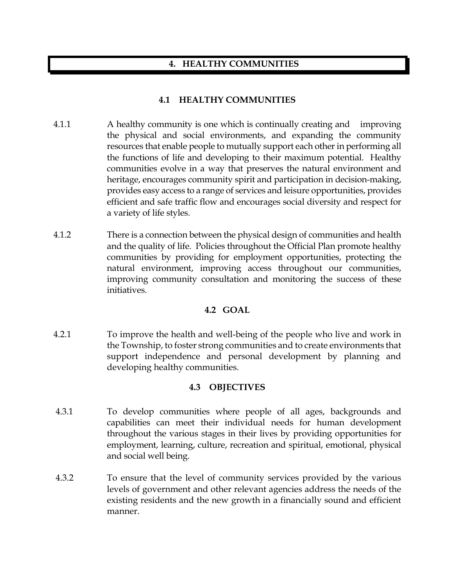## **4. HEALTHY COMMUNITIES**

## **4.1 HEALTHY COMMUNITIES**

- 4.1.1 A healthy community is one which is continually creating and improving the physical and social environments, and expanding the community resources that enable people to mutually support each other in performing all the functions of life and developing to their maximum potential. Healthy communities evolve in a way that preserves the natural environment and heritage, encourages community spirit and participation in decision-making, provides easy access to a range of services and leisure opportunities, provides efficient and safe traffic flow and encourages social diversity and respect for a variety of life styles.
- 4.1.2 There is a connection between the physical design of communities and health and the quality of life. Policies throughout the Official Plan promote healthy communities by providing for employment opportunities, protecting the natural environment, improving access throughout our communities, improving community consultation and monitoring the success of these initiatives.

## **4.2 GOAL**

4.2.1 To improve the health and well-being of the people who live and work in the Township, to foster strong communities and to create environments that support independence and personal development by planning and developing healthy communities.

## **4.3 OBJECTIVES**

- 4.3.1 To develop communities where people of all ages, backgrounds and capabilities can meet their individual needs for human development throughout the various stages in their lives by providing opportunities for employment, learning, culture, recreation and spiritual, emotional, physical and social well being.
- 4.3.2 To ensure that the level of community services provided by the various levels of government and other relevant agencies address the needs of the existing residents and the new growth in a financially sound and efficient manner.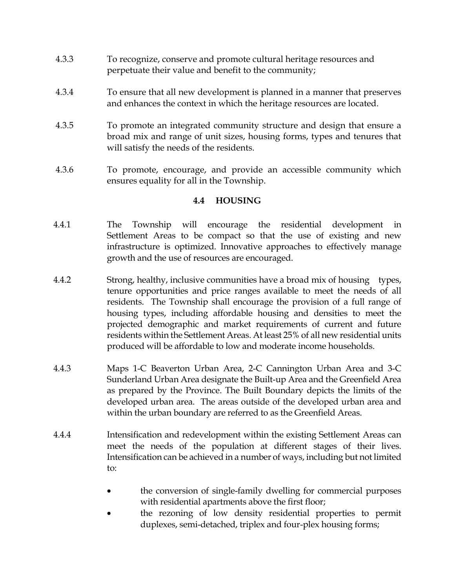- 4.3.3 To recognize, conserve and promote cultural heritage resources and perpetuate their value and benefit to the community;
- 4.3.4 To ensure that all new development is planned in a manner that preserves and enhances the context in which the heritage resources are located.
- 4.3.5 To promote an integrated community structure and design that ensure a broad mix and range of unit sizes, housing forms, types and tenures that will satisfy the needs of the residents.
- 4.3.6 To promote, encourage, and provide an accessible community which ensures equality for all in the Township.

## **4.4 HOUSING**

- 4.4.1 The Township will encourage the residential development in Settlement Areas to be compact so that the use of existing and new infrastructure is optimized. Innovative approaches to effectively manage growth and the use of resources are encouraged.
- 4.4.2 Strong, healthy, inclusive communities have a broad mix of housing types, tenure opportunities and price ranges available to meet the needs of all residents. The Township shall encourage the provision of a full range of housing types, including affordable housing and densities to meet the projected demographic and market requirements of current and future residents within the Settlement Areas. At least 25% of all new residential units produced will be affordable to low and moderate income households.
- 4.4.3 Maps 1-C Beaverton Urban Area, 2-C Cannington Urban Area and 3-C Sunderland Urban Area designate the Built-up Area and the Greenfield Area as prepared by the Province. The Built Boundary depicts the limits of the developed urban area. The areas outside of the developed urban area and within the urban boundary are referred to as the Greenfield Areas.
- 4.4.4 Intensification and redevelopment within the existing Settlement Areas can meet the needs of the population at different stages of their lives. Intensification can be achieved in a number of ways, including but not limited to:
	- the conversion of single-family dwelling for commercial purposes with residential apartments above the first floor;
	- the rezoning of low density residential properties to permit duplexes, semi-detached, triplex and four-plex housing forms;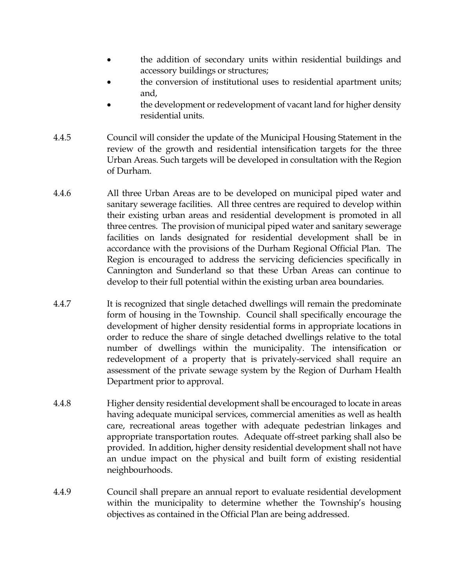- the addition of secondary units within residential buildings and accessory buildings or structures;
- the conversion of institutional uses to residential apartment units; and,
- the development or redevelopment of vacant land for higher density residential units.
- 4.4.5 Council will consider the update of the Municipal Housing Statement in the review of the growth and residential intensification targets for the three Urban Areas. Such targets will be developed in consultation with the Region of Durham.
- 4.4.6 All three Urban Areas are to be developed on municipal piped water and sanitary sewerage facilities. All three centres are required to develop within their existing urban areas and residential development is promoted in all three centres. The provision of municipal piped water and sanitary sewerage facilities on lands designated for residential development shall be in accordance with the provisions of the Durham Regional Official Plan. The Region is encouraged to address the servicing deficiencies specifically in Cannington and Sunderland so that these Urban Areas can continue to develop to their full potential within the existing urban area boundaries.
- 4.4.7 It is recognized that single detached dwellings will remain the predominate form of housing in the Township. Council shall specifically encourage the development of higher density residential forms in appropriate locations in order to reduce the share of single detached dwellings relative to the total number of dwellings within the municipality. The intensification or redevelopment of a property that is privately-serviced shall require an assessment of the private sewage system by the Region of Durham Health Department prior to approval.
- 4.4.8 Higher density residential development shall be encouraged to locate in areas having adequate municipal services, commercial amenities as well as health care, recreational areas together with adequate pedestrian linkages and appropriate transportation routes. Adequate off-street parking shall also be provided. In addition, higher density residential development shall not have an undue impact on the physical and built form of existing residential neighbourhoods.
- 4.4.9 Council shall prepare an annual report to evaluate residential development within the municipality to determine whether the Township's housing objectives as contained in the Official Plan are being addressed.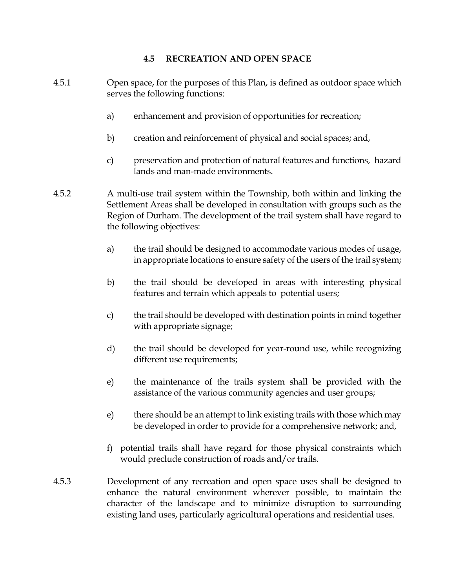## **4.5 RECREATION AND OPEN SPACE**

- 4.5.1 Open space, for the purposes of this Plan, is defined as outdoor space which serves the following functions: a) enhancement and provision of opportunities for recreation; b) creation and reinforcement of physical and social spaces; and, c) preservation and protection of natural features and functions, hazard lands and man-made environments. 4.5.2 A multi-use trail system within the Township, both within and linking the Settlement Areas shall be developed in consultation with groups such as the Region of Durham. The development of the trail system shall have regard to the following objectives: a) the trail should be designed to accommodate various modes of usage, in appropriate locations to ensure safety of the users of the trail system; b) the trail should be developed in areas with interesting physical features and terrain which appeals to potential users; c) the trail should be developed with destination points in mind together with appropriate signage;
	- d) the trail should be developed for year-round use, while recognizing different use requirements;
	- e) the maintenance of the trails system shall be provided with the assistance of the various community agencies and user groups;
	- e) there should be an attempt to link existing trails with those which may be developed in order to provide for a comprehensive network; and,
	- f) potential trails shall have regard for those physical constraints which would preclude construction of roads and/or trails.
- 4.5.3 Development of any recreation and open space uses shall be designed to enhance the natural environment wherever possible, to maintain the character of the landscape and to minimize disruption to surrounding existing land uses, particularly agricultural operations and residential uses.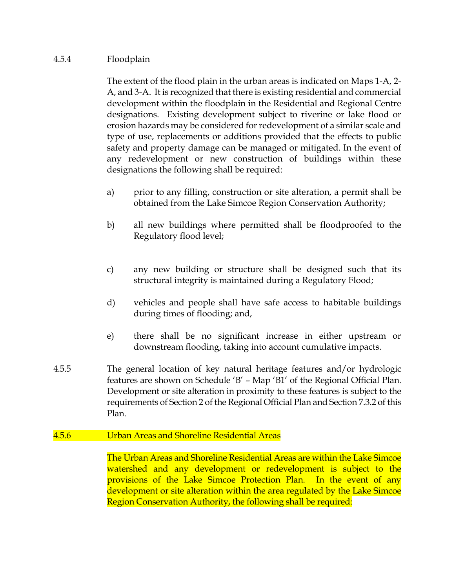## 4.5.4 Floodplain

The extent of the flood plain in the urban areas is indicated on Maps 1-A, 2- A, and 3-A. It is recognized that there is existing residential and commercial development within the floodplain in the Residential and Regional Centre designations. Existing development subject to riverine or lake flood or erosion hazards may be considered for redevelopment of a similar scale and type of use, replacements or additions provided that the effects to public safety and property damage can be managed or mitigated. In the event of any redevelopment or new construction of buildings within these designations the following shall be required:

- a) prior to any filling, construction or site alteration, a permit shall be obtained from the Lake Simcoe Region Conservation Authority;
- b) all new buildings where permitted shall be floodproofed to the Regulatory flood level;
- c) any new building or structure shall be designed such that its structural integrity is maintained during a Regulatory Flood;
- d) vehicles and people shall have safe access to habitable buildings during times of flooding; and,
- e) there shall be no significant increase in either upstream or downstream flooding, taking into account cumulative impacts.
- 4.5.5 The general location of key natural heritage features and/or hydrologic features are shown on Schedule 'B' – Map 'B1' of the Regional Official Plan. Development or site alteration in proximity to these features is subject to the requirements of Section 2 of the Regional Official Plan and Section 7.3.2 of this Plan.

## 4.5.6 Urban Areas and Shoreline Residential Areas

The Urban Areas and Shoreline Residential Areas are within the Lake Simcoe watershed and any development or redevelopment is subject to the provisions of the Lake Simcoe Protection Plan. In the event of any development or site alteration within the area regulated by the Lake Simcoe Region Conservation Authority, the following shall be required: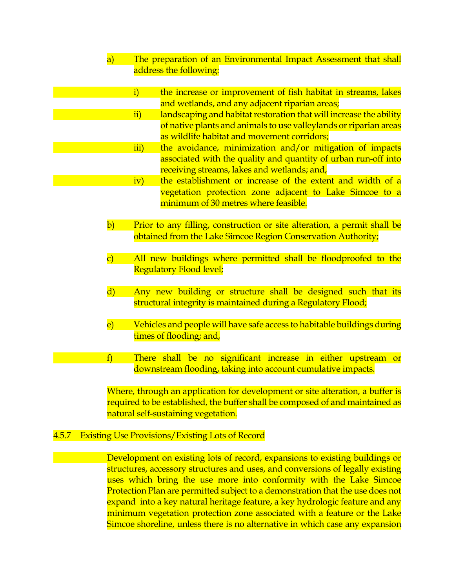- a) The preparation of an Environmental Impact Assessment that shall address the following:
	- i) the increase or improvement of fish habitat in streams, lakes and wetlands, and any adjacent riparian areas;
	- ii) landscaping and habitat restoration that will increase the ability of native plants and animals to use valleylands or riparian areas as wildlife habitat and movement corridors;
	- iii) the avoidance, minimization and/or mitigation of impacts associated with the quality and quantity of urban run-off into receiving streams, lakes and wetlands; and,
	- iv) the establishment or increase of the extent and width of a vegetation protection zone adjacent to Lake Simcoe to a minimum of 30 metres where feasible.
- b) Prior to any filling, construction or site alteration, a permit shall be obtained from the Lake Simcoe Region Conservation Authority;
- c) All new buildings where permitted shall be floodproofed to the Regulatory Flood level;
- d) Any new building or structure shall be designed such that its structural integrity is maintained during a Regulatory Flood;
- e) Vehicles and people will have safe access to habitable buildings during times of flooding; and,
- f) There shall be no significant increase in either upstream or downstream flooding, taking into account cumulative impacts.

Where, through an application for development or site alteration, a buffer is required to be established, the buffer shall be composed of and maintained as natural self-sustaining vegetation.

#### 4.5.7 Existing Use Provisions/Existing Lots of Record

Development on existing lots of record, expansions to existing buildings or structures, accessory structures and uses, and conversions of legally existing uses which bring the use more into conformity with the Lake Simcoe Protection Plan are permitted subject to a demonstration that the use does not expand into a key natural heritage feature, a key hydrologic feature and any minimum vegetation protection zone associated with a feature or the Lake Simcoe shoreline, unless there is no alternative in which case any expansion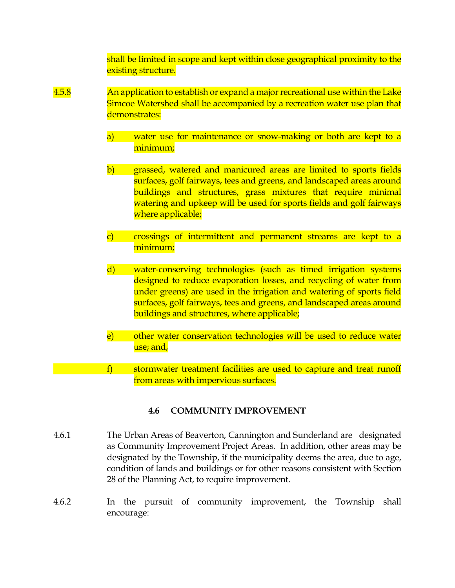shall be limited in scope and kept within close geographical proximity to the existing structure.

- 4.5.8 An application to establish or expand a major recreational use within the Lake Simcoe Watershed shall be accompanied by a recreation water use plan that demonstrates:
	- a) water use for maintenance or snow-making or both are kept to a minimum;
	- b) grassed, watered and manicured areas are limited to sports fields surfaces, golf fairways, tees and greens, and landscaped areas around buildings and structures, grass mixtures that require minimal watering and upkeep will be used for sports fields and golf fairways where applicable;
	- c) crossings of intermittent and permanent streams are kept to a minimum;
	- d) water-conserving technologies (such as timed irrigation systems designed to reduce evaporation losses, and recycling of water from under greens) are used in the irrigation and watering of sports field surfaces, golf fairways, tees and greens, and landscaped areas around buildings and structures, where applicable;
	- e) other water conservation technologies will be used to reduce water use; and,
	- f) stormwater treatment facilities are used to capture and treat runoff from areas with impervious surfaces.

## **4.6 COMMUNITY IMPROVEMENT**

- 4.6.1 The Urban Areas of Beaverton, Cannington and Sunderland are designated as Community Improvement Project Areas. In addition, other areas may be designated by the Township, if the municipality deems the area, due to age, condition of lands and buildings or for other reasons consistent with Section 28 of the Planning Act, to require improvement.
- 4.6.2 In the pursuit of community improvement, the Township shall encourage: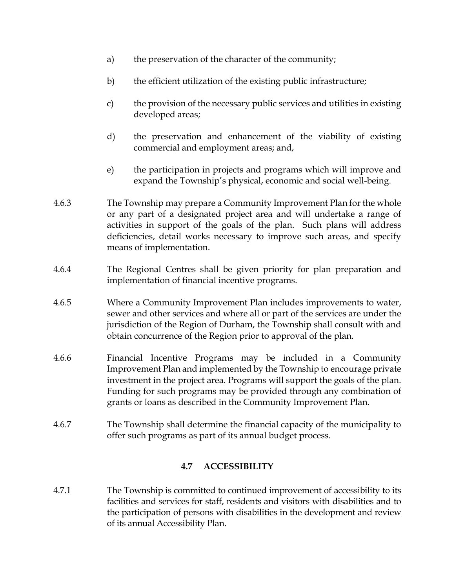- a) the preservation of the character of the community;
- b) the efficient utilization of the existing public infrastructure;
- c) the provision of the necessary public services and utilities in existing developed areas;
- d) the preservation and enhancement of the viability of existing commercial and employment areas; and,
- e) the participation in projects and programs which will improve and expand the Township's physical, economic and social well-being.
- 4.6.3 The Township may prepare a Community Improvement Plan for the whole or any part of a designated project area and will undertake a range of activities in support of the goals of the plan. Such plans will address deficiencies, detail works necessary to improve such areas, and specify means of implementation.
- 4.6.4 The Regional Centres shall be given priority for plan preparation and implementation of financial incentive programs.
- 4.6.5 Where a Community Improvement Plan includes improvements to water, sewer and other services and where all or part of the services are under the jurisdiction of the Region of Durham, the Township shall consult with and obtain concurrence of the Region prior to approval of the plan.
- 4.6.6 Financial Incentive Programs may be included in a Community Improvement Plan and implemented by the Township to encourage private investment in the project area. Programs will support the goals of the plan. Funding for such programs may be provided through any combination of grants or loans as described in the Community Improvement Plan.
- 4.6.7 The Township shall determine the financial capacity of the municipality to offer such programs as part of its annual budget process.

## **4.7 ACCESSIBILITY**

4.7.1 The Township is committed to continued improvement of accessibility to its facilities and services for staff, residents and visitors with disabilities and to the participation of persons with disabilities in the development and review of its annual Accessibility Plan.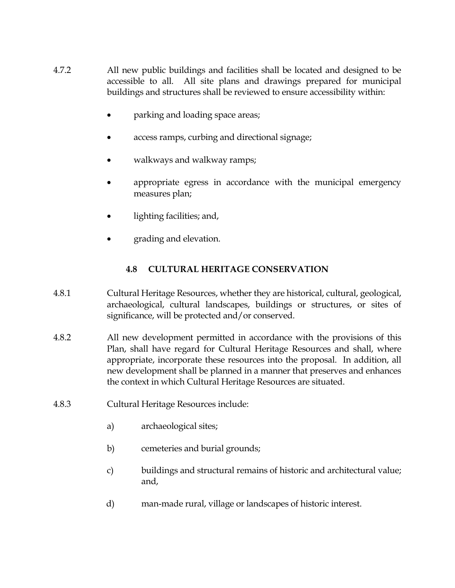- 4.7.2 All new public buildings and facilities shall be located and designed to be accessible to all. All site plans and drawings prepared for municipal buildings and structures shall be reviewed to ensure accessibility within:
	- parking and loading space areas;
	- access ramps, curbing and directional signage;
	- walkways and walkway ramps;
	- appropriate egress in accordance with the municipal emergency measures plan;
	- lighting facilities; and,
	- grading and elevation.

## **4.8 CULTURAL HERITAGE CONSERVATION**

- 4.8.1 Cultural Heritage Resources, whether they are historical, cultural, geological, archaeological, cultural landscapes, buildings or structures, or sites of significance, will be protected and/or conserved.
- 4.8.2 All new development permitted in accordance with the provisions of this Plan, shall have regard for Cultural Heritage Resources and shall, where appropriate, incorporate these resources into the proposal. In addition, all new development shall be planned in a manner that preserves and enhances the context in which Cultural Heritage Resources are situated.
- 4.8.3 Cultural Heritage Resources include:
	- a) archaeological sites;
	- b) cemeteries and burial grounds;
	- c) buildings and structural remains of historic and architectural value; and,
	- d) man-made rural, village or landscapes of historic interest.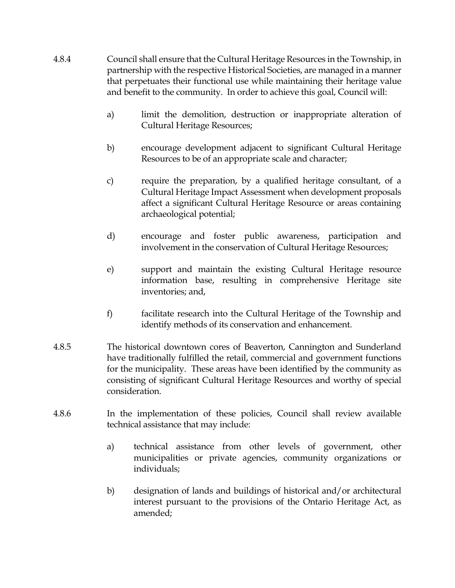- 4.8.4 Council shall ensure that the Cultural Heritage Resources in the Township, in partnership with the respective Historical Societies, are managed in a manner that perpetuates their functional use while maintaining their heritage value and benefit to the community. In order to achieve this goal, Council will:
	- a) limit the demolition, destruction or inappropriate alteration of Cultural Heritage Resources;
	- b) encourage development adjacent to significant Cultural Heritage Resources to be of an appropriate scale and character;
	- c) require the preparation, by a qualified heritage consultant, of a Cultural Heritage Impact Assessment when development proposals affect a significant Cultural Heritage Resource or areas containing archaeological potential;
	- d) encourage and foster public awareness, participation and involvement in the conservation of Cultural Heritage Resources;
	- e) support and maintain the existing Cultural Heritage resource information base, resulting in comprehensive Heritage site inventories; and,
	- f) facilitate research into the Cultural Heritage of the Township and identify methods of its conservation and enhancement.
- 4.8.5 The historical downtown cores of Beaverton, Cannington and Sunderland have traditionally fulfilled the retail, commercial and government functions for the municipality. These areas have been identified by the community as consisting of significant Cultural Heritage Resources and worthy of special consideration.
- 4.8.6 In the implementation of these policies, Council shall review available technical assistance that may include:
	- a) technical assistance from other levels of government, other municipalities or private agencies, community organizations or individuals;
	- b) designation of lands and buildings of historical and/or architectural interest pursuant to the provisions of the Ontario Heritage Act, as amended;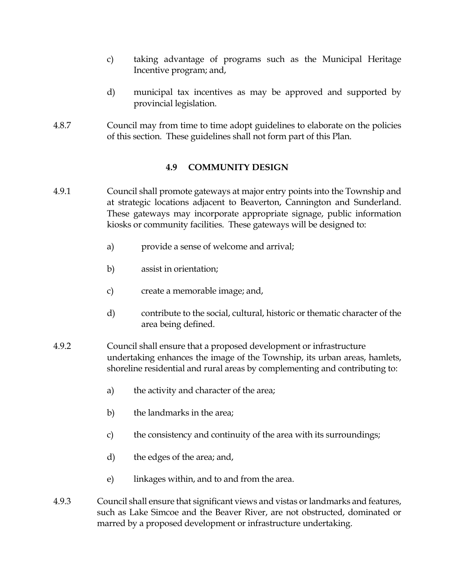- c) taking advantage of programs such as the Municipal Heritage Incentive program; and,
- d) municipal tax incentives as may be approved and supported by provincial legislation.
- 4.8.7 Council may from time to time adopt guidelines to elaborate on the policies of this section. These guidelines shall not form part of this Plan.

# **4.9 COMMUNITY DESIGN**

- 4.9.1 Council shall promote gateways at major entry points into the Township and at strategic locations adjacent to Beaverton, Cannington and Sunderland. These gateways may incorporate appropriate signage, public information kiosks or community facilities. These gateways will be designed to:
	- a) provide a sense of welcome and arrival;
	- b) assist in orientation;
	- c) create a memorable image; and,
	- d) contribute to the social, cultural, historic or thematic character of the area being defined.
- 4.9.2 Council shall ensure that a proposed development or infrastructure undertaking enhances the image of the Township, its urban areas, hamlets, shoreline residential and rural areas by complementing and contributing to:
	- a) the activity and character of the area;
	- b) the landmarks in the area;
	- c) the consistency and continuity of the area with its surroundings;
	- d) the edges of the area; and,
	- e) linkages within, and to and from the area.
- 4.9.3 Council shall ensure that significant views and vistas or landmarks and features, such as Lake Simcoe and the Beaver River, are not obstructed, dominated or marred by a proposed development or infrastructure undertaking.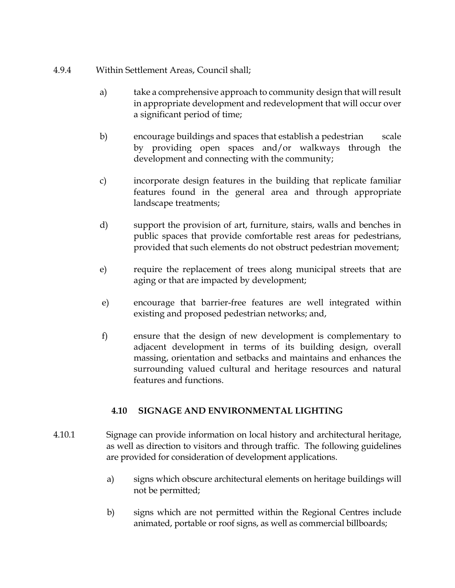- 4.9.4 Within Settlement Areas, Council shall;
	- a) take a comprehensive approach to community design that will result in appropriate development and redevelopment that will occur over a significant period of time;
	- b) encourage buildings and spaces that establish a pedestrian scale by providing open spaces and/or walkways through the development and connecting with the community;
	- c) incorporate design features in the building that replicate familiar features found in the general area and through appropriate landscape treatments;
	- d) support the provision of art, furniture, stairs, walls and benches in public spaces that provide comfortable rest areas for pedestrians, provided that such elements do not obstruct pedestrian movement;
	- e) require the replacement of trees along municipal streets that are aging or that are impacted by development;
	- e) encourage that barrier-free features are well integrated within existing and proposed pedestrian networks; and,
	- f) ensure that the design of new development is complementary to adjacent development in terms of its building design, overall massing, orientation and setbacks and maintains and enhances the surrounding valued cultural and heritage resources and natural features and functions.

# **4.10 SIGNAGE AND ENVIRONMENTAL LIGHTING**

- 4.10.1 Signage can provide information on local history and architectural heritage, as well as direction to visitors and through traffic. The following guidelines are provided for consideration of development applications.
	- a) signs which obscure architectural elements on heritage buildings will not be permitted;
	- b) signs which are not permitted within the Regional Centres include animated, portable or roof signs, as well as commercial billboards;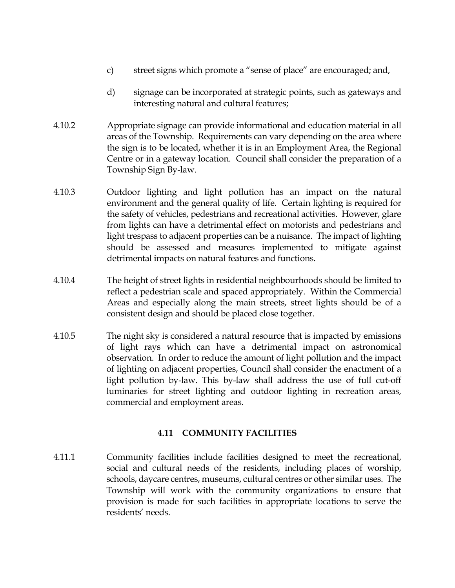- c) street signs which promote a "sense of place" are encouraged; and,
- d) signage can be incorporated at strategic points, such as gateways and interesting natural and cultural features;
- 4.10.2 Appropriate signage can provide informational and education material in all areas of the Township. Requirements can vary depending on the area where the sign is to be located, whether it is in an Employment Area, the Regional Centre or in a gateway location. Council shall consider the preparation of a Township Sign By-law.
- 4.10.3 Outdoor lighting and light pollution has an impact on the natural environment and the general quality of life. Certain lighting is required for the safety of vehicles, pedestrians and recreational activities. However, glare from lights can have a detrimental effect on motorists and pedestrians and light trespass to adjacent properties can be a nuisance. The impact of lighting should be assessed and measures implemented to mitigate against detrimental impacts on natural features and functions.
- 4.10.4 The height of street lights in residential neighbourhoods should be limited to reflect a pedestrian scale and spaced appropriately. Within the Commercial Areas and especially along the main streets, street lights should be of a consistent design and should be placed close together.
- 4.10.5 The night sky is considered a natural resource that is impacted by emissions of light rays which can have a detrimental impact on astronomical observation. In order to reduce the amount of light pollution and the impact of lighting on adjacent properties, Council shall consider the enactment of a light pollution by-law. This by-law shall address the use of full cut-off luminaries for street lighting and outdoor lighting in recreation areas, commercial and employment areas.

## **4.11 COMMUNITY FACILITIES**

4.11.1 Community facilities include facilities designed to meet the recreational, social and cultural needs of the residents, including places of worship, schools, daycare centres, museums, cultural centres or other similar uses. The Township will work with the community organizations to ensure that provision is made for such facilities in appropriate locations to serve the residents' needs.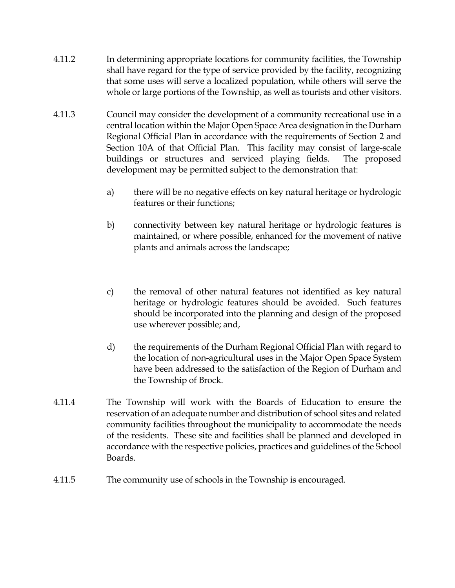- 4.11.2 In determining appropriate locations for community facilities, the Township shall have regard for the type of service provided by the facility, recognizing that some uses will serve a localized population, while others will serve the whole or large portions of the Township, as well as tourists and other visitors.
- 4.11.3 Council may consider the development of a community recreational use in a central location within the Major Open Space Area designation in the Durham Regional Official Plan in accordance with the requirements of Section 2 and Section 10A of that Official Plan. This facility may consist of large-scale buildings or structures and serviced playing fields. The proposed development may be permitted subject to the demonstration that:
	- a) there will be no negative effects on key natural heritage or hydrologic features or their functions;
	- b) connectivity between key natural heritage or hydrologic features is maintained, or where possible, enhanced for the movement of native plants and animals across the landscape;
	- c) the removal of other natural features not identified as key natural heritage or hydrologic features should be avoided. Such features should be incorporated into the planning and design of the proposed use wherever possible; and,
	- d) the requirements of the Durham Regional Official Plan with regard to the location of non-agricultural uses in the Major Open Space System have been addressed to the satisfaction of the Region of Durham and the Township of Brock.
- 4.11.4 The Township will work with the Boards of Education to ensure the reservation of an adequate number and distribution of school sites and related community facilities throughout the municipality to accommodate the needs of the residents. These site and facilities shall be planned and developed in accordance with the respective policies, practices and guidelines of the School Boards.
- 4.11.5 The community use of schools in the Township is encouraged.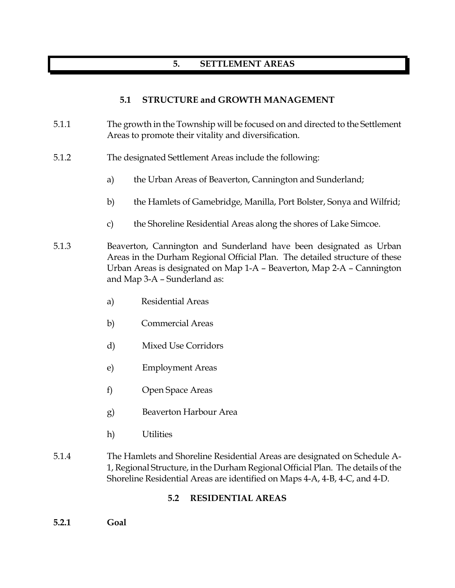# **5. SETTLEMENT AREAS**

## **5.1 STRUCTURE and GROWTH MANAGEMENT**

- 5.1.1 The growth in the Township will be focused on and directed to the Settlement Areas to promote their vitality and diversification.
- 5.1.2 The designated Settlement Areas include the following:
	- a) the Urban Areas of Beaverton, Cannington and Sunderland;
	- b) the Hamlets of Gamebridge, Manilla, Port Bolster, Sonya and Wilfrid;
	- c) the Shoreline Residential Areas along the shores of Lake Simcoe.
- 5.1.3 Beaverton, Cannington and Sunderland have been designated as Urban Areas in the Durham Regional Official Plan. The detailed structure of these Urban Areas is designated on Map 1-A – Beaverton, Map 2-A – Cannington and Map 3-A – Sunderland as:
	- a) Residential Areas
	- b) Commercial Areas
	- d) Mixed Use Corridors
	- e) Employment Areas
	- f) Open Space Areas
	- g) Beaverton Harbour Area
	- h) Utilities
- 5.1.4 The Hamlets and Shoreline Residential Areas are designated on Schedule A-1, Regional Structure, in the Durham Regional Official Plan. The details of the Shoreline Residential Areas are identified on Maps 4-A, 4-B, 4-C, and 4-D.

## **5.2 RESIDENTIAL AREAS**

**5.2.1 Goal**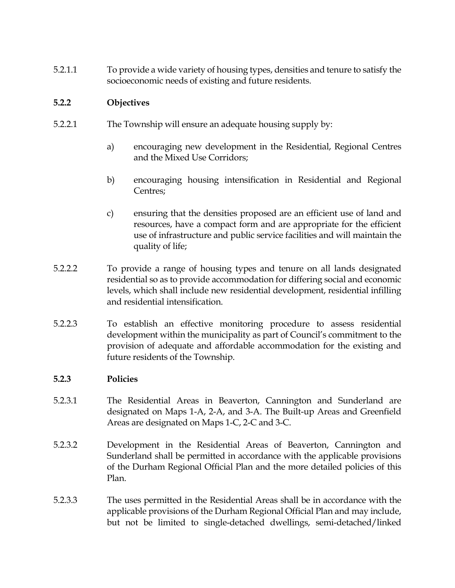5.2.1.1 To provide a wide variety of housing types, densities and tenure to satisfy the socioeconomic needs of existing and future residents.

## **5.2.2 Objectives**

- 5.2.2.1 The Township will ensure an adequate housing supply by:
	- a) encouraging new development in the Residential, Regional Centres and the Mixed Use Corridors;
	- b) encouraging housing intensification in Residential and Regional Centres;
	- c) ensuring that the densities proposed are an efficient use of land and resources, have a compact form and are appropriate for the efficient use of infrastructure and public service facilities and will maintain the quality of life;
- 5.2.2.2 To provide a range of housing types and tenure on all lands designated residential so as to provide accommodation for differing social and economic levels, which shall include new residential development, residential infilling and residential intensification.
- 5.2.2.3 To establish an effective monitoring procedure to assess residential development within the municipality as part of Council's commitment to the provision of adequate and affordable accommodation for the existing and future residents of the Township.

## **5.2.3 Policies**

- 5.2.3.1 The Residential Areas in Beaverton, Cannington and Sunderland are designated on Maps 1-A, 2-A, and 3-A. The Built-up Areas and Greenfield Areas are designated on Maps 1-C, 2-C and 3-C.
- 5.2.3.2 Development in the Residential Areas of Beaverton, Cannington and Sunderland shall be permitted in accordance with the applicable provisions of the Durham Regional Official Plan and the more detailed policies of this Plan.
- 5.2.3.3 The uses permitted in the Residential Areas shall be in accordance with the applicable provisions of the Durham Regional Official Plan and may include, but not be limited to single-detached dwellings, semi-detached/linked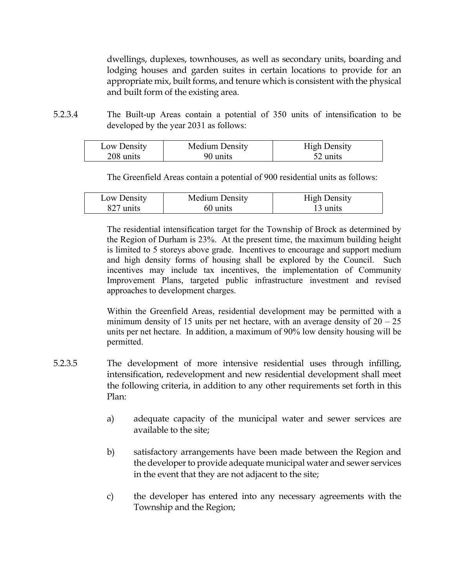dwellings, duplexes, townhouses, as well as secondary units, boarding and lodging houses and garden suites in certain locations to provide for an appropriate mix, built forms, and tenure which is consistent with the physical and built form of the existing area.

5.2.3.4 The Built-up Areas contain a potential of 350 units of intensification to be developed by the year 2031 as follows:

| Low Density | Medium Density | <b>High Density</b> |
|-------------|----------------|---------------------|
| 208 units   | 90 units       | 52 units            |

The Greenfield Areas contain a potential of 900 residential units as follows:

| Low Density | Medium Density | <b>High Density</b> |
|-------------|----------------|---------------------|
| 827 units   | 60 units       | 13 units            |

The residential intensification target for the Township of Brock as determined by the Region of Durham is 23%. At the present time, the maximum building height is limited to 5 storeys above grade. Incentives to encourage and support medium and high density forms of housing shall be explored by the Council. Such incentives may include tax incentives, the implementation of Community Improvement Plans, targeted public infrastructure investment and revised approaches to development charges.

Within the Greenfield Areas, residential development may be permitted with a minimum density of 15 units per net hectare, with an average density of  $20 - 25$ units per net hectare. In addition, a maximum of 90% low density housing will be permitted.

- 5.2.3.5 The development of more intensive residential uses through infilling, intensification, redevelopment and new residential development shall meet the following criteria, in addition to any other requirements set forth in this Plan:
	- a) adequate capacity of the municipal water and sewer services are available to the site;
	- b) satisfactory arrangements have been made between the Region and the developer to provide adequate municipal water and sewer services in the event that they are not adjacent to the site;
	- c) the developer has entered into any necessary agreements with the Township and the Region;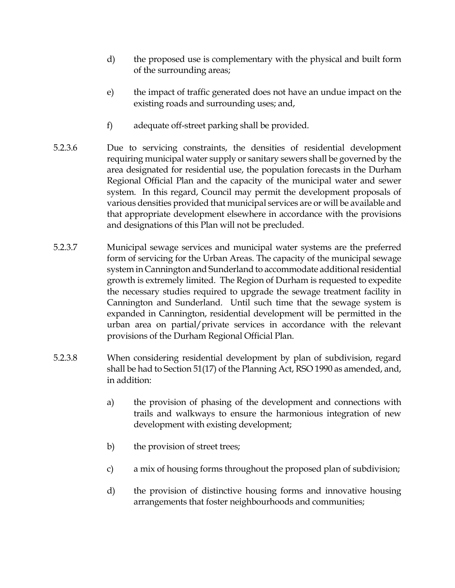- d) the proposed use is complementary with the physical and built form of the surrounding areas;
- e) the impact of traffic generated does not have an undue impact on the existing roads and surrounding uses; and,
- f) adequate off-street parking shall be provided.
- 5.2.3.6 Due to servicing constraints, the densities of residential development requiring municipal water supply or sanitary sewers shall be governed by the area designated for residential use, the population forecasts in the Durham Regional Official Plan and the capacity of the municipal water and sewer system. In this regard, Council may permit the development proposals of various densities provided that municipal services are or will be available and that appropriate development elsewhere in accordance with the provisions and designations of this Plan will not be precluded.
- 5.2.3.7 Municipal sewage services and municipal water systems are the preferred form of servicing for the Urban Areas. The capacity of the municipal sewage system in Cannington and Sunderland to accommodate additional residential growth is extremely limited. The Region of Durham is requested to expedite the necessary studies required to upgrade the sewage treatment facility in Cannington and Sunderland. Until such time that the sewage system is expanded in Cannington, residential development will be permitted in the urban area on partial/private services in accordance with the relevant provisions of the Durham Regional Official Plan.
- 5.2.3.8 When considering residential development by plan of subdivision, regard shall be had to Section 51(17) of the Planning Act, RSO 1990 as amended, and, in addition:
	- a) the provision of phasing of the development and connections with trails and walkways to ensure the harmonious integration of new development with existing development;
	- b) the provision of street trees;
	- c) a mix of housing forms throughout the proposed plan of subdivision;
	- d) the provision of distinctive housing forms and innovative housing arrangements that foster neighbourhoods and communities;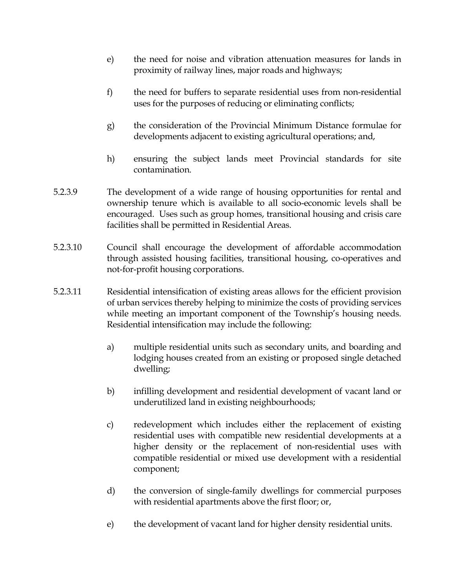- e) the need for noise and vibration attenuation measures for lands in proximity of railway lines, major roads and highways;
- f) the need for buffers to separate residential uses from non-residential uses for the purposes of reducing or eliminating conflicts;
- g) the consideration of the Provincial Minimum Distance formulae for developments adjacent to existing agricultural operations; and,
- h) ensuring the subject lands meet Provincial standards for site contamination.
- 5.2.3.9 The development of a wide range of housing opportunities for rental and ownership tenure which is available to all socio-economic levels shall be encouraged. Uses such as group homes, transitional housing and crisis care facilities shall be permitted in Residential Areas.
- 5.2.3.10 Council shall encourage the development of affordable accommodation through assisted housing facilities, transitional housing, co-operatives and not-for-profit housing corporations.
- 5.2.3.11 Residential intensification of existing areas allows for the efficient provision of urban services thereby helping to minimize the costs of providing services while meeting an important component of the Township's housing needs. Residential intensification may include the following:
	- a) multiple residential units such as secondary units, and boarding and lodging houses created from an existing or proposed single detached dwelling;
	- b) infilling development and residential development of vacant land or underutilized land in existing neighbourhoods;
	- c) redevelopment which includes either the replacement of existing residential uses with compatible new residential developments at a higher density or the replacement of non-residential uses with compatible residential or mixed use development with a residential component;
	- d) the conversion of single-family dwellings for commercial purposes with residential apartments above the first floor; or,
	- e) the development of vacant land for higher density residential units.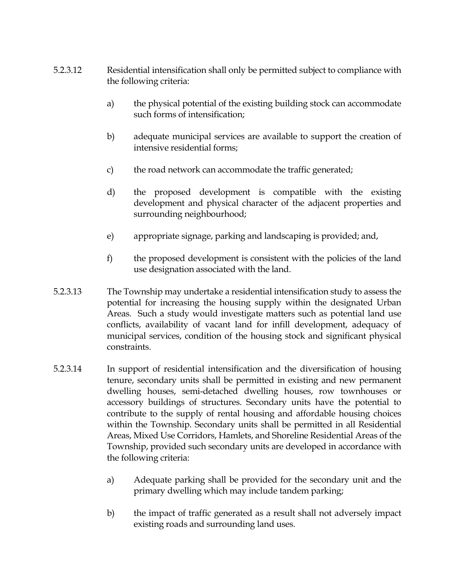- 5.2.3.12 Residential intensification shall only be permitted subject to compliance with the following criteria:
	- a) the physical potential of the existing building stock can accommodate such forms of intensification;
	- b) adequate municipal services are available to support the creation of intensive residential forms;
	- c) the road network can accommodate the traffic generated;
	- d) the proposed development is compatible with the existing development and physical character of the adjacent properties and surrounding neighbourhood;
	- e) appropriate signage, parking and landscaping is provided; and,
	- f) the proposed development is consistent with the policies of the land use designation associated with the land.
- 5.2.3.13 The Township may undertake a residential intensification study to assess the potential for increasing the housing supply within the designated Urban Areas. Such a study would investigate matters such as potential land use conflicts, availability of vacant land for infill development, adequacy of municipal services, condition of the housing stock and significant physical constraints.
- 5.2.3.14 In support of residential intensification and the diversification of housing tenure, secondary units shall be permitted in existing and new permanent dwelling houses, semi-detached dwelling houses, row townhouses or accessory buildings of structures. Secondary units have the potential to contribute to the supply of rental housing and affordable housing choices within the Township. Secondary units shall be permitted in all Residential Areas, Mixed Use Corridors, Hamlets, and Shoreline Residential Areas of the Township, provided such secondary units are developed in accordance with the following criteria:
	- a) Adequate parking shall be provided for the secondary unit and the primary dwelling which may include tandem parking;
	- b) the impact of traffic generated as a result shall not adversely impact existing roads and surrounding land uses.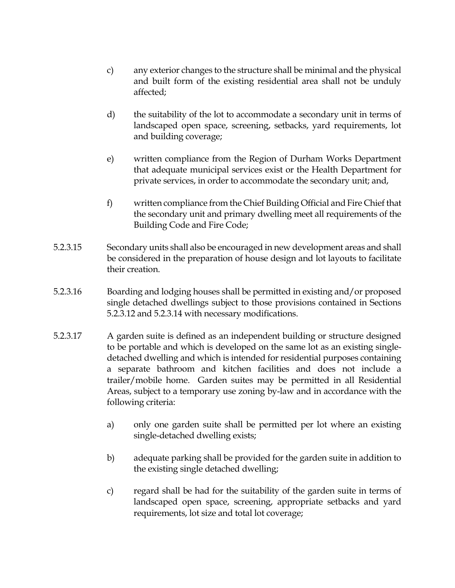- c) any exterior changes to the structure shall be minimal and the physical and built form of the existing residential area shall not be unduly affected;
- d) the suitability of the lot to accommodate a secondary unit in terms of landscaped open space, screening, setbacks, yard requirements, lot and building coverage;
- e) written compliance from the Region of Durham Works Department that adequate municipal services exist or the Health Department for private services, in order to accommodate the secondary unit; and,
- f) written compliance from the Chief Building Official and Fire Chief that the secondary unit and primary dwelling meet all requirements of the Building Code and Fire Code;
- 5.2.3.15 Secondary units shall also be encouraged in new development areas and shall be considered in the preparation of house design and lot layouts to facilitate their creation.
- 5.2.3.16 Boarding and lodging houses shall be permitted in existing and/or proposed single detached dwellings subject to those provisions contained in Sections 5.2.3.12 and 5.2.3.14 with necessary modifications.
- 5.2.3.17 A garden suite is defined as an independent building or structure designed to be portable and which is developed on the same lot as an existing singledetached dwelling and which is intended for residential purposes containing a separate bathroom and kitchen facilities and does not include a trailer/mobile home. Garden suites may be permitted in all Residential Areas, subject to a temporary use zoning by-law and in accordance with the following criteria:
	- a) only one garden suite shall be permitted per lot where an existing single-detached dwelling exists;
	- b) adequate parking shall be provided for the garden suite in addition to the existing single detached dwelling;
	- c) regard shall be had for the suitability of the garden suite in terms of landscaped open space, screening, appropriate setbacks and yard requirements, lot size and total lot coverage;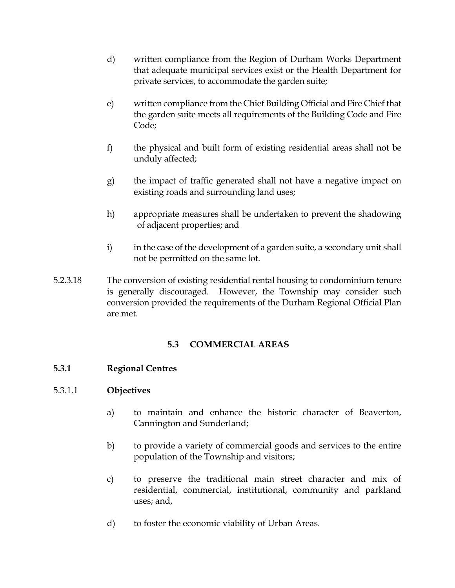- d) written compliance from the Region of Durham Works Department that adequate municipal services exist or the Health Department for private services, to accommodate the garden suite;
- e) written compliance from the Chief Building Official and Fire Chief that the garden suite meets all requirements of the Building Code and Fire Code;
- f) the physical and built form of existing residential areas shall not be unduly affected;
- g) the impact of traffic generated shall not have a negative impact on existing roads and surrounding land uses;
- h) appropriate measures shall be undertaken to prevent the shadowing of adjacent properties; and
- i) in the case of the development of a garden suite, a secondary unit shall not be permitted on the same lot.
- 5.2.3.18 The conversion of existing residential rental housing to condominium tenure is generally discouraged. However, the Township may consider such conversion provided the requirements of the Durham Regional Official Plan are met.

## **5.3 COMMERCIAL AREAS**

## **5.3.1 Regional Centres**

## 5.3.1.1 **Objectives**

- a) to maintain and enhance the historic character of Beaverton, Cannington and Sunderland;
- b) to provide a variety of commercial goods and services to the entire population of the Township and visitors;
- c) to preserve the traditional main street character and mix of residential, commercial, institutional, community and parkland uses; and,
- d) to foster the economic viability of Urban Areas.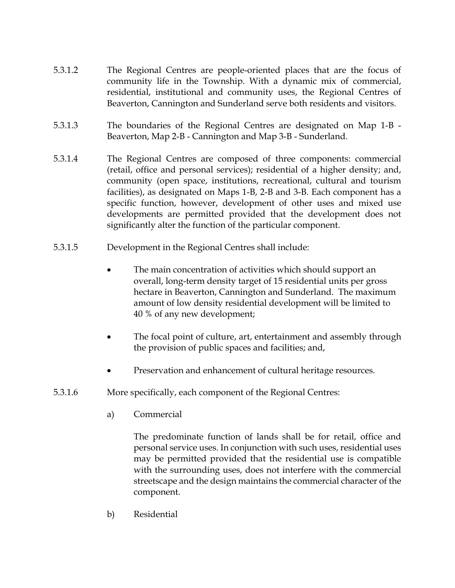- 5.3.1.2 The Regional Centres are people-oriented places that are the focus of community life in the Township. With a dynamic mix of commercial, residential, institutional and community uses, the Regional Centres of Beaverton, Cannington and Sunderland serve both residents and visitors.
- 5.3.1.3 The boundaries of the Regional Centres are designated on Map 1-B Beaverton, Map 2-B - Cannington and Map 3-B - Sunderland.
- 5.3.1.4 The Regional Centres are composed of three components: commercial (retail, office and personal services); residential of a higher density; and, community (open space, institutions, recreational, cultural and tourism facilities), as designated on Maps 1-B, 2-B and 3-B. Each component has a specific function, however, development of other uses and mixed use developments are permitted provided that the development does not significantly alter the function of the particular component.
- 5.3.1.5 Development in the Regional Centres shall include:
	- The main concentration of activities which should support an overall, long-term density target of 15 residential units per gross hectare in Beaverton, Cannington and Sunderland. The maximum amount of low density residential development will be limited to 40 % of any new development;
	- The focal point of culture, art, entertainment and assembly through the provision of public spaces and facilities; and,
	- Preservation and enhancement of cultural heritage resources.
- 5.3.1.6 More specifically, each component of the Regional Centres:
	- a) Commercial

The predominate function of lands shall be for retail, office and personal service uses. In conjunction with such uses, residential uses may be permitted provided that the residential use is compatible with the surrounding uses, does not interfere with the commercial streetscape and the design maintains the commercial character of the component.

b) Residential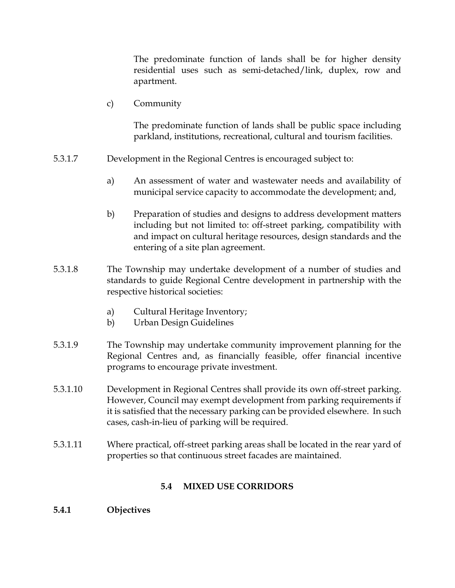The predominate function of lands shall be for higher density residential uses such as semi-detached/link, duplex, row and apartment.

c) Community

The predominate function of lands shall be public space including parkland, institutions, recreational, cultural and tourism facilities.

- 5.3.1.7 Development in the Regional Centres is encouraged subject to:
	- a) An assessment of water and wastewater needs and availability of municipal service capacity to accommodate the development; and,
	- b) Preparation of studies and designs to address development matters including but not limited to: off-street parking, compatibility with and impact on cultural heritage resources, design standards and the entering of a site plan agreement.
- 5.3.1.8 The Township may undertake development of a number of studies and standards to guide Regional Centre development in partnership with the respective historical societies:
	- a) Cultural Heritage Inventory;
	- b) Urban Design Guidelines
- 5.3.1.9 The Township may undertake community improvement planning for the Regional Centres and, as financially feasible, offer financial incentive programs to encourage private investment.
- 5.3.1.10 Development in Regional Centres shall provide its own off-street parking. However, Council may exempt development from parking requirements if it is satisfied that the necessary parking can be provided elsewhere. In such cases, cash-in-lieu of parking will be required.
- 5.3.1.11 Where practical, off-street parking areas shall be located in the rear yard of properties so that continuous street facades are maintained.

## **5.4 MIXED USE CORRIDORS**

## **5.4.1 Objectives**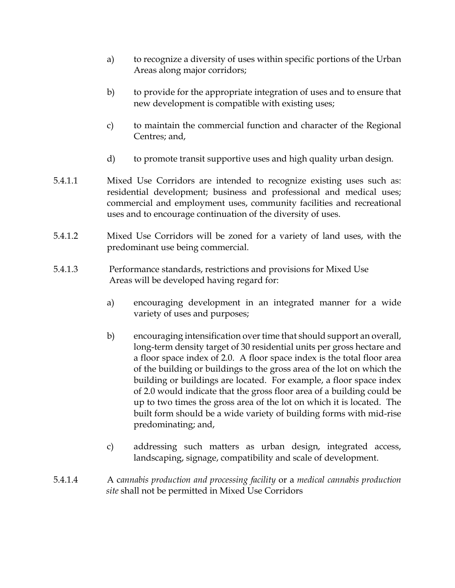- a) to recognize a diversity of uses within specific portions of the Urban Areas along major corridors;
- b) to provide for the appropriate integration of uses and to ensure that new development is compatible with existing uses;
- c) to maintain the commercial function and character of the Regional Centres; and,
- d) to promote transit supportive uses and high quality urban design.
- 5.4.1.1 Mixed Use Corridors are intended to recognize existing uses such as: residential development; business and professional and medical uses; commercial and employment uses, community facilities and recreational uses and to encourage continuation of the diversity of uses.
- 5.4.1.2 Mixed Use Corridors will be zoned for a variety of land uses, with the predominant use being commercial.
- 5.4.1.3 Performance standards, restrictions and provisions for Mixed Use Areas will be developed having regard for:
	- a) encouraging development in an integrated manner for a wide variety of uses and purposes;
	- b) encouraging intensification over time that should support an overall, long-term density target of 30 residential units per gross hectare and a floor space index of 2.0. A floor space index is the total floor area of the building or buildings to the gross area of the lot on which the building or buildings are located. For example, a floor space index of 2.0 would indicate that the gross floor area of a building could be up to two times the gross area of the lot on which it is located. The built form should be a wide variety of building forms with mid-rise predominating; and,
	- c) addressing such matters as urban design, integrated access, landscaping, signage, compatibility and scale of development.
- 5.4.1.4 A c*annabis production and processing facility* or a *medical cannabis production site* shall not be permitted in Mixed Use Corridors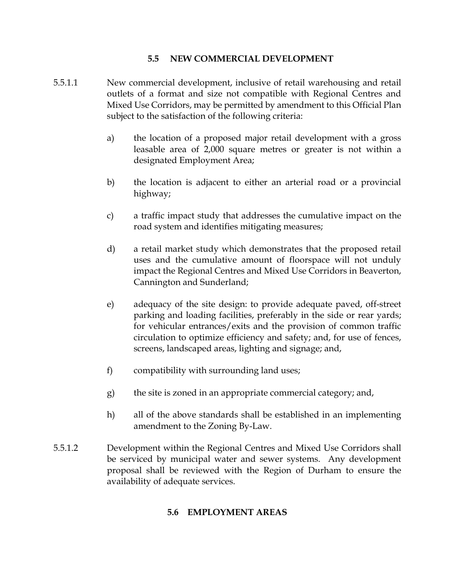### **5.5 NEW COMMERCIAL DEVELOPMENT**

- 5.5.1.1 New commercial development, inclusive of retail warehousing and retail outlets of a format and size not compatible with Regional Centres and Mixed Use Corridors, may be permitted by amendment to this Official Plan subject to the satisfaction of the following criteria:
	- a) the location of a proposed major retail development with a gross leasable area of 2,000 square metres or greater is not within a designated Employment Area;
	- b) the location is adjacent to either an arterial road or a provincial highway;
	- c) a traffic impact study that addresses the cumulative impact on the road system and identifies mitigating measures;
	- d) a retail market study which demonstrates that the proposed retail uses and the cumulative amount of floorspace will not unduly impact the Regional Centres and Mixed Use Corridors in Beaverton, Cannington and Sunderland;
	- e) adequacy of the site design: to provide adequate paved, off-street parking and loading facilities, preferably in the side or rear yards; for vehicular entrances/exits and the provision of common traffic circulation to optimize efficiency and safety; and, for use of fences, screens, landscaped areas, lighting and signage; and,
	- f) compatibility with surrounding land uses;
	- g) the site is zoned in an appropriate commercial category; and,
	- h) all of the above standards shall be established in an implementing amendment to the Zoning By-Law.
- 5.5.1.2 Development within the Regional Centres and Mixed Use Corridors shall be serviced by municipal water and sewer systems. Any development proposal shall be reviewed with the Region of Durham to ensure the availability of adequate services.

## **5.6 EMPLOYMENT AREAS**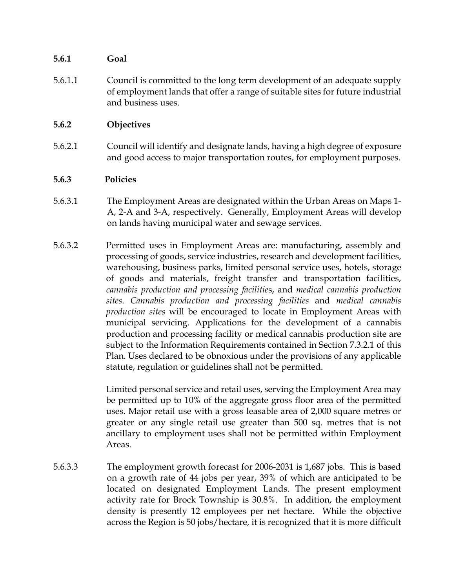## **5.6.1 Goal**

5.6.1.1 Council is committed to the long term development of an adequate supply of employment lands that offer a range of suitable sites for future industrial and business uses.

## **5.6.2 Objectives**

5.6.2.1 Council will identify and designate lands, having a high degree of exposure and good access to major transportation routes, for employment purposes.

## **5.6.3 Policies**

- 5.6.3.1 The Employment Areas are designated within the Urban Areas on Maps 1- A, 2-A and 3-A, respectively. Generally, Employment Areas will develop on lands having municipal water and sewage services.
- 5.6.3.2 Permitted uses in Employment Areas are: manufacturing, assembly and processing of goods, service industries, research and development facilities, warehousing, business parks, limited personal service uses, hotels, storage of goods and materials, freight transfer and transportation facilities, *cannabis production and processing facilitie*s, and *medical cannabis production sites*. *Cannabis production and processing facilities* and *medical cannabis production sites* will be encouraged to locate in Employment Areas with municipal servicing. Applications for the development of a cannabis production and processing facility or medical cannabis production site are subject to the Information Requirements contained in Section 7.3.2.1 of this Plan. Uses declared to be obnoxious under the provisions of any applicable statute, regulation or guidelines shall not be permitted.

Limited personal service and retail uses, serving the Employment Area may be permitted up to 10% of the aggregate gross floor area of the permitted uses. Major retail use with a gross leasable area of 2,000 square metres or greater or any single retail use greater than 500 sq. metres that is not ancillary to employment uses shall not be permitted within Employment Areas.

5.6.3.3 The employment growth forecast for 2006-2031 is 1,687 jobs. This is based on a growth rate of 44 jobs per year, 39% of which are anticipated to be located on designated Employment Lands. The present employment activity rate for Brock Township is 30.8%. In addition, the employment density is presently 12 employees per net hectare. While the objective across the Region is 50 jobs/hectare, it is recognized that it is more difficult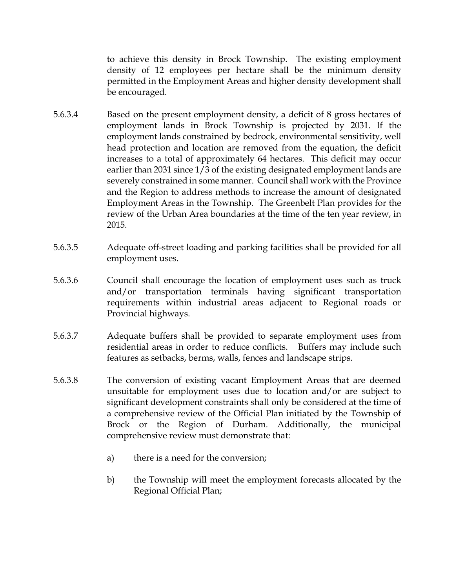to achieve this density in Brock Township. The existing employment density of 12 employees per hectare shall be the minimum density permitted in the Employment Areas and higher density development shall be encouraged.

- 5.6.3.4 Based on the present employment density, a deficit of 8 gross hectares of employment lands in Brock Township is projected by 2031. If the employment lands constrained by bedrock, environmental sensitivity, well head protection and location are removed from the equation, the deficit increases to a total of approximately 64 hectares. This deficit may occur earlier than 2031 since 1/3 of the existing designated employment lands are severely constrained in some manner. Council shall work with the Province and the Region to address methods to increase the amount of designated Employment Areas in the Township. The Greenbelt Plan provides for the review of the Urban Area boundaries at the time of the ten year review, in 2015.
- 5.6.3.5 Adequate off-street loading and parking facilities shall be provided for all employment uses.
- 5.6.3.6 Council shall encourage the location of employment uses such as truck and/or transportation terminals having significant transportation requirements within industrial areas adjacent to Regional roads or Provincial highways.
- 5.6.3.7 Adequate buffers shall be provided to separate employment uses from residential areas in order to reduce conflicts. Buffers may include such features as setbacks, berms, walls, fences and landscape strips.
- 5.6.3.8 The conversion of existing vacant Employment Areas that are deemed unsuitable for employment uses due to location and/or are subject to significant development constraints shall only be considered at the time of a comprehensive review of the Official Plan initiated by the Township of Brock or the Region of Durham. Additionally, the municipal comprehensive review must demonstrate that:
	- a) there is a need for the conversion;
	- b) the Township will meet the employment forecasts allocated by the Regional Official Plan;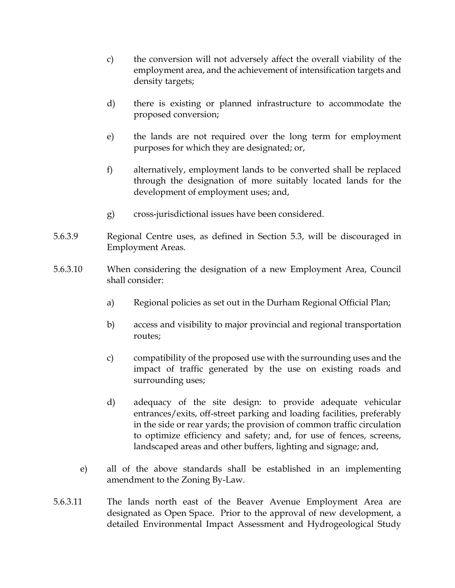- c) the conversion will not adversely affect the overall viability of the employment area, and the achievement of intensification targets and density targets;
- d) there is existing or planned infrastructure to accommodate the proposed conversion;
- e) the lands are not required over the long term for employment purposes for which they are designated; or,
- f) alternatively, employment lands to be converted shall be replaced through the designation of more suitably located lands for the development of employment uses; and,
- g) cross-jurisdictional issues have been considered.
- 5.6.3.9 Regional Centre uses, as defined in Section 5.3, will be discouraged in Employment Areas.
- 5.6.3.10 When considering the designation of a new Employment Area, Council shall consider:
	- a) Regional policies as set out in the Durham Regional Official Plan;
	- b) access and visibility to major provincial and regional transportation routes;
	- c) compatibility of the proposed use with the surrounding uses and the impact of traffic generated by the use on existing roads and surrounding uses;
	- d) adequacy of the site design: to provide adequate vehicular entrances/exits, off-street parking and loading facilities, preferably in the side or rear yards; the provision of common traffic circulation to optimize efficiency and safety; and, for use of fences, screens, landscaped areas and other buffers, lighting and signage; and,
	- e) all of the above standards shall be established in an implementing amendment to the Zoning By-Law.
- 5.6.3.11 The lands north east of the Beaver Avenue Employment Area are designated as Open Space. Prior to the approval of new development, a detailed Environmental Impact Assessment and Hydrogeological Study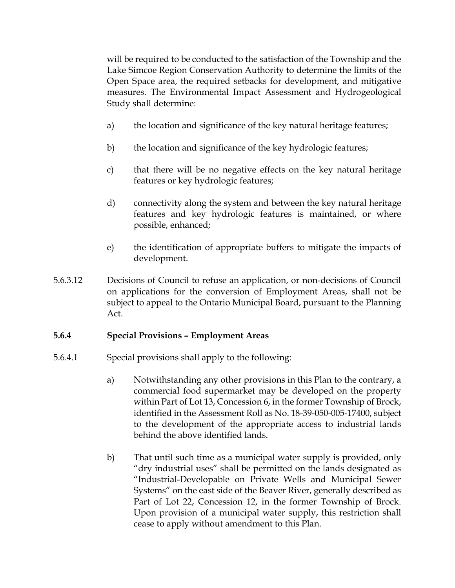will be required to be conducted to the satisfaction of the Township and the Lake Simcoe Region Conservation Authority to determine the limits of the Open Space area, the required setbacks for development, and mitigative measures. The Environmental Impact Assessment and Hydrogeological Study shall determine:

- a) the location and significance of the key natural heritage features;
- b) the location and significance of the key hydrologic features;
- c) that there will be no negative effects on the key natural heritage features or key hydrologic features;
- d) connectivity along the system and between the key natural heritage features and key hydrologic features is maintained, or where possible, enhanced;
- e) the identification of appropriate buffers to mitigate the impacts of development.
- 5.6.3.12 Decisions of Council to refuse an application, or non-decisions of Council on applications for the conversion of Employment Areas, shall not be subject to appeal to the Ontario Municipal Board, pursuant to the Planning Act.

## **5.6.4 Special Provisions – Employment Areas**

- 5.6.4.1 Special provisions shall apply to the following:
	- a) Notwithstanding any other provisions in this Plan to the contrary, a commercial food supermarket may be developed on the property within Part of Lot 13, Concession 6, in the former Township of Brock, identified in the Assessment Roll as No. 18-39-050-005-17400, subject to the development of the appropriate access to industrial lands behind the above identified lands.
	- b) That until such time as a municipal water supply is provided, only "dry industrial uses" shall be permitted on the lands designated as "Industrial-Developable on Private Wells and Municipal Sewer Systems" on the east side of the Beaver River, generally described as Part of Lot 22, Concession 12, in the former Township of Brock. Upon provision of a municipal water supply, this restriction shall cease to apply without amendment to this Plan.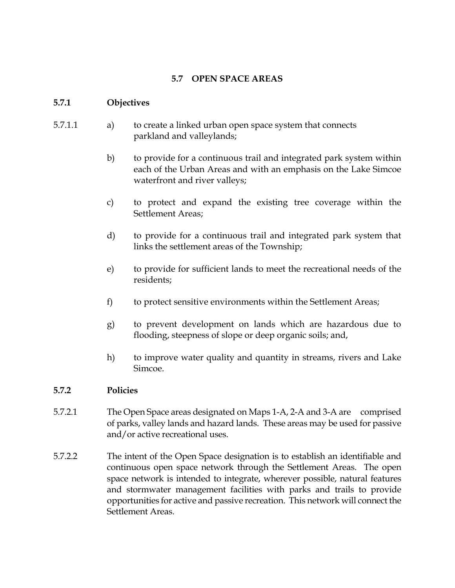## **5.7 OPEN SPACE AREAS**

#### **5.7.1 Objectives**

- 5.7.1.1 a) to create a linked urban open space system that connects parkland and valleylands;
	- b) to provide for a continuous trail and integrated park system within each of the Urban Areas and with an emphasis on the Lake Simcoe waterfront and river valleys;
	- c) to protect and expand the existing tree coverage within the Settlement Areas;
	- d) to provide for a continuous trail and integrated park system that links the settlement areas of the Township;
	- e) to provide for sufficient lands to meet the recreational needs of the residents;
	- f) to protect sensitive environments within the Settlement Areas;
	- g) to prevent development on lands which are hazardous due to flooding, steepness of slope or deep organic soils; and,
	- h) to improve water quality and quantity in streams, rivers and Lake Simcoe.

## **5.7.2 Policies**

- 5.7.2.1 The Open Space areas designated on Maps 1-A, 2-A and 3-A are comprised of parks, valley lands and hazard lands. These areas may be used for passive and/or active recreational uses.
- 5.7.2.2 The intent of the Open Space designation is to establish an identifiable and continuous open space network through the Settlement Areas. The open space network is intended to integrate, wherever possible, natural features and stormwater management facilities with parks and trails to provide opportunities for active and passive recreation. This network will connect the Settlement Areas.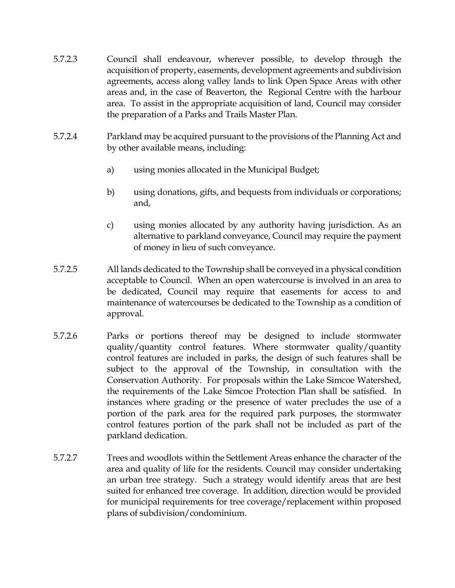- 5.7.2.3 Council shall endeavour, wherever possible, to develop through the acquisition of property, easements, development agreements and subdivision agreements, access along valley lands to link Open Space Areas with other areas and, in the case of Beaverton, the Regional Centre with the harbour area. To assist in the appropriate acquisition of land, Council may consider the preparation of a Parks and Trails Master Plan.
- 5.7.2.4 Parkland may be acquired pursuant to the provisions of the Planning Act and by other available means, including:
	- a) using monies allocated in the Municipal Budget;
	- b) using donations, gifts, and bequests from individuals or corporations; and,
	- c) using monies allocated by any authority having jurisdiction. As an alternative to parkland conveyance, Council may require the payment of money in lieu of such conveyance.
- 5.7.2.5 All lands dedicated to the Township shall be conveyed in a physical condition acceptable to Council. When an open watercourse is involved in an area to be dedicated, Council may require that easements for access to and maintenance of watercourses be dedicated to the Township as a condition of approval.
- 5.7.2.6 Parks or portions thereof may be designed to include stormwater quality/quantity control features. Where stormwater quality/quantity control features are included in parks, the design of such features shall be subject to the approval of the Township, in consultation with the Conservation Authority. For proposals within the Lake Simcoe Watershed, the requirements of the Lake Simcoe Protection Plan shall be satisfied. In instances where grading or the presence of water precludes the use of a portion of the park area for the required park purposes, the stormwater control features portion of the park shall not be included as part of the parkland dedication.
- 5.7.2.7 Trees and woodlots within the Settlement Areas enhance the character of the area and quality of life for the residents. Council may consider undertaking an urban tree strategy. Such a strategy would identify areas that are best suited for enhanced tree coverage. In addition, direction would be provided for municipal requirements for tree coverage/replacement within proposed plans of subdivision/condominium.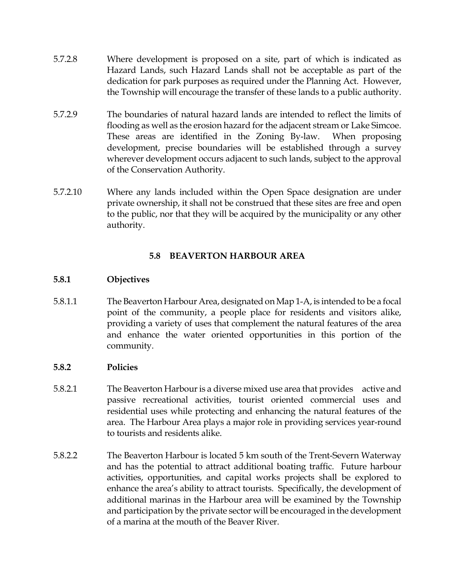- 5.7.2.8 Where development is proposed on a site, part of which is indicated as Hazard Lands, such Hazard Lands shall not be acceptable as part of the dedication for park purposes as required under the Planning Act. However, the Township will encourage the transfer of these lands to a public authority.
- 5.7.2.9 The boundaries of natural hazard lands are intended to reflect the limits of flooding as well as the erosion hazard for the adjacent stream or Lake Simcoe. These areas are identified in the Zoning By-law. When proposing development, precise boundaries will be established through a survey wherever development occurs adjacent to such lands, subject to the approval of the Conservation Authority.
- 5.7.2.10 Where any lands included within the Open Space designation are under private ownership, it shall not be construed that these sites are free and open to the public, nor that they will be acquired by the municipality or any other authority.

## **5.8 BEAVERTON HARBOUR AREA**

## **5.8.1 Objectives**

5.8.1.1 The Beaverton Harbour Area, designated on Map 1-A, is intended to be a focal point of the community, a people place for residents and visitors alike, providing a variety of uses that complement the natural features of the area and enhance the water oriented opportunities in this portion of the community.

## **5.8.2 Policies**

- 5.8.2.1 The Beaverton Harbour is a diverse mixed use area that provides active and passive recreational activities, tourist oriented commercial uses and residential uses while protecting and enhancing the natural features of the area. The Harbour Area plays a major role in providing services year-round to tourists and residents alike.
- 5.8.2.2 The Beaverton Harbour is located 5 km south of the Trent-Severn Waterway and has the potential to attract additional boating traffic. Future harbour activities, opportunities, and capital works projects shall be explored to enhance the area's ability to attract tourists. Specifically, the development of additional marinas in the Harbour area will be examined by the Township and participation by the private sector will be encouraged in the development of a marina at the mouth of the Beaver River.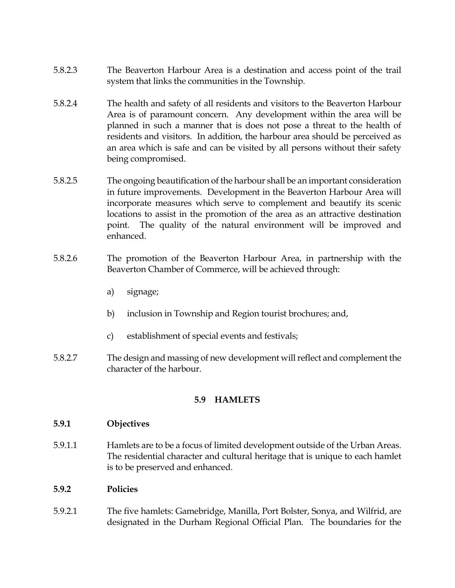- 5.8.2.3 The Beaverton Harbour Area is a destination and access point of the trail system that links the communities in the Township.
- 5.8.2.4 The health and safety of all residents and visitors to the Beaverton Harbour Area is of paramount concern. Any development within the area will be planned in such a manner that is does not pose a threat to the health of residents and visitors. In addition, the harbour area should be perceived as an area which is safe and can be visited by all persons without their safety being compromised.
- 5.8.2.5 The ongoing beautification of the harbour shall be an important consideration in future improvements. Development in the Beaverton Harbour Area will incorporate measures which serve to complement and beautify its scenic locations to assist in the promotion of the area as an attractive destination point. The quality of the natural environment will be improved and enhanced.
- 5.8.2.6 The promotion of the Beaverton Harbour Area, in partnership with the Beaverton Chamber of Commerce, will be achieved through:
	- a) signage;
	- b) inclusion in Township and Region tourist brochures; and,
	- c) establishment of special events and festivals;
- 5.8.2.7 The design and massing of new development will reflect and complement the character of the harbour.

## **5.9 HAMLETS**

#### **5.9.1 Objectives**

5.9.1.1 Hamlets are to be a focus of limited development outside of the Urban Areas. The residential character and cultural heritage that is unique to each hamlet is to be preserved and enhanced.

## **5.9.2 Policies**

5.9.2.1 The five hamlets: Gamebridge, Manilla, Port Bolster, Sonya, and Wilfrid, are designated in the Durham Regional Official Plan. The boundaries for the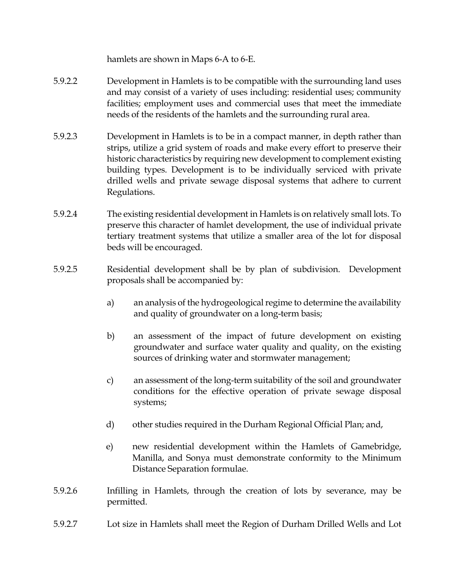hamlets are shown in Maps 6-A to 6-E.

- 5.9.2.2 Development in Hamlets is to be compatible with the surrounding land uses and may consist of a variety of uses including: residential uses; community facilities; employment uses and commercial uses that meet the immediate needs of the residents of the hamlets and the surrounding rural area.
- 5.9.2.3 Development in Hamlets is to be in a compact manner, in depth rather than strips, utilize a grid system of roads and make every effort to preserve their historic characteristics by requiring new development to complement existing building types. Development is to be individually serviced with private drilled wells and private sewage disposal systems that adhere to current Regulations.
- 5.9.2.4 The existing residential development in Hamlets is on relatively small lots. To preserve this character of hamlet development, the use of individual private tertiary treatment systems that utilize a smaller area of the lot for disposal beds will be encouraged.
- 5.9.2.5 Residential development shall be by plan of subdivision. Development proposals shall be accompanied by:
	- a) an analysis of the hydrogeological regime to determine the availability and quality of groundwater on a long-term basis;
	- b) an assessment of the impact of future development on existing groundwater and surface water quality and quality, on the existing sources of drinking water and stormwater management;
	- c) an assessment of the long-term suitability of the soil and groundwater conditions for the effective operation of private sewage disposal systems;
	- d) other studies required in the Durham Regional Official Plan; and,
	- e) new residential development within the Hamlets of Gamebridge, Manilla, and Sonya must demonstrate conformity to the Minimum Distance Separation formulae.
- 5.9.2.6 Infilling in Hamlets, through the creation of lots by severance, may be permitted.
- 5.9.2.7 Lot size in Hamlets shall meet the Region of Durham Drilled Wells and Lot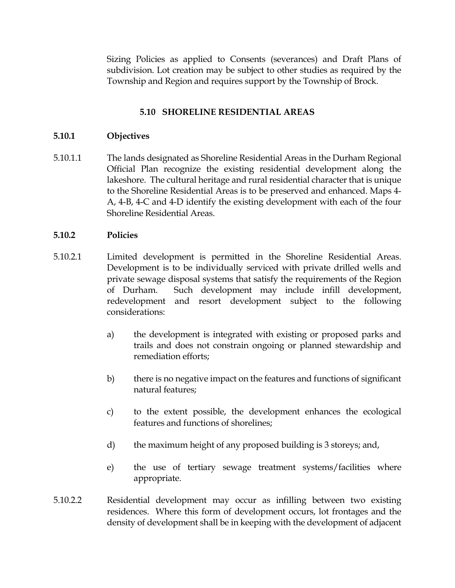Sizing Policies as applied to Consents (severances) and Draft Plans of subdivision. Lot creation may be subject to other studies as required by the Township and Region and requires support by the Township of Brock.

## **5.10 SHORELINE RESIDENTIAL AREAS**

## **5.10.1 Objectives**

5.10.1.1 The lands designated as Shoreline Residential Areas in the Durham Regional Official Plan recognize the existing residential development along the lakeshore. The cultural heritage and rural residential character that is unique to the Shoreline Residential Areas is to be preserved and enhanced. Maps 4- A, 4-B, 4-C and 4-D identify the existing development with each of the four Shoreline Residential Areas.

## **5.10.2 Policies**

- 5.10.2.1 Limited development is permitted in the Shoreline Residential Areas. Development is to be individually serviced with private drilled wells and private sewage disposal systems that satisfy the requirements of the Region of Durham. Such development may include infill development, redevelopment and resort development subject to the following considerations:
	- a) the development is integrated with existing or proposed parks and trails and does not constrain ongoing or planned stewardship and remediation efforts;
	- b) there is no negative impact on the features and functions of significant natural features;
	- c) to the extent possible, the development enhances the ecological features and functions of shorelines;
	- d) the maximum height of any proposed building is 3 storeys; and,
	- e) the use of tertiary sewage treatment systems/facilities where appropriate.
- 5.10.2.2 Residential development may occur as infilling between two existing residences. Where this form of development occurs, lot frontages and the density of development shall be in keeping with the development of adjacent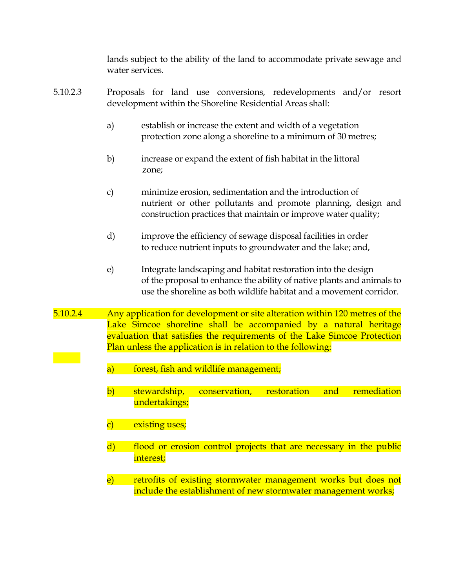lands subject to the ability of the land to accommodate private sewage and water services.

- 5.10.2.3 Proposals for land use conversions, redevelopments and/or resort development within the Shoreline Residential Areas shall:
	- a) establish or increase the extent and width of a vegetation protection zone along a shoreline to a minimum of 30 metres;
	- b) increase or expand the extent of fish habitat in the littoral zone;
	- c) minimize erosion, sedimentation and the introduction of nutrient or other pollutants and promote planning, design and construction practices that maintain or improve water quality;
	- d) improve the efficiency of sewage disposal facilities in order to reduce nutrient inputs to groundwater and the lake; and,
	- e) Integrate landscaping and habitat restoration into the design of the proposal to enhance the ability of native plants and animals to use the shoreline as both wildlife habitat and a movement corridor.
- 5.10.2.4 Any application for development or site alteration within 120 metres of the Lake Simcoe shoreline shall be accompanied by a natural heritage evaluation that satisfies the requirements of the Lake Simcoe Protection Plan unless the application is in relation to the following:
	- a) forest, fish and wildlife management;
	- b) stewardship, conservation, restoration and remediation undertakings;
	- c) existing uses;
	- d) flood or erosion control projects that are necessary in the public interest;
	- e) retrofits of existing stormwater management works but does not include the establishment of new stormwater management works;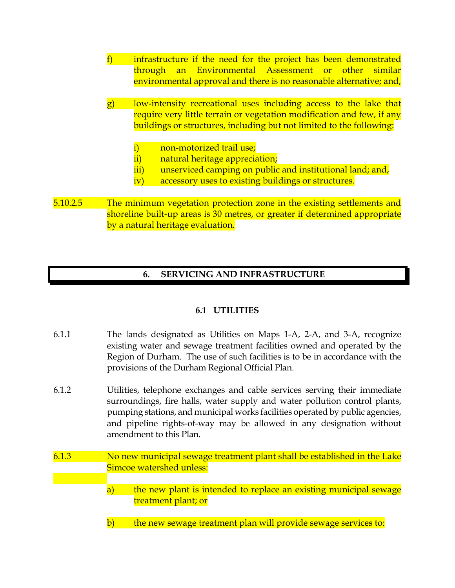- f) infrastructure if the need for the project has been demonstrated through an Environmental Assessment or other similar environmental approval and there is no reasonable alternative; and,
- g) low-intensity recreational uses including access to the lake that require very little terrain or vegetation modification and few, if any buildings or structures, including but not limited to the following:
	- i) non-motorized trail use;
	- ii) natural heritage appreciation;
	- iii) unserviced camping on public and institutional land; and,
	- iv) accessory uses to existing buildings or structures.
- 5.10.2.5 The minimum vegetation protection zone in the existing settlements and shoreline built-up areas is 30 metres, or greater if determined appropriate by a natural heritage evaluation.

# **6. SERVICING AND INFRASTRUCTURE**

## **6.1 UTILITIES**

- 6.1.1 The lands designated as Utilities on Maps 1-A, 2-A, and 3-A, recognize existing water and sewage treatment facilities owned and operated by the Region of Durham. The use of such facilities is to be in accordance with the provisions of the Durham Regional Official Plan.
- 6.1.2 Utilities, telephone exchanges and cable services serving their immediate surroundings, fire halls, water supply and water pollution control plants, pumping stations, and municipal works facilities operated by public agencies, and pipeline rights-of-way may be allowed in any designation without amendment to this Plan.
- 6.1.3 No new municipal sewage treatment plant shall be established in the Lake Simcoe watershed unless:
	- a) the new plant is intended to replace an existing municipal sewage treatment plant; or
	- b) the new sewage treatment plan will provide sewage services to: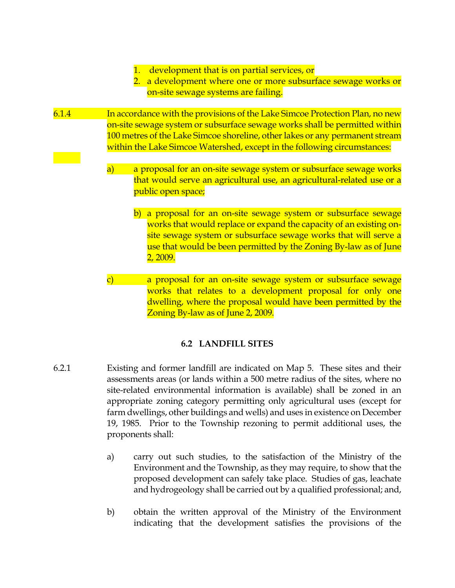- 1. development that is on partial services, or
- 2. a development where one or more subsurface sewage works or on-site sewage systems are failing.
- 6.1.4 In accordance with the provisions of the Lake Simcoe Protection Plan, no new on-site sewage system or subsurface sewage works shall be permitted within 100 metres of the Lake Simcoe shoreline, other lakes or any permanent stream within the Lake Simcoe Watershed, except in the following circumstances:
	- a) a proposal for an on-site sewage system or subsurface sewage works that would serve an agricultural use, an agricultural-related use or a public open space;
		- b) a proposal for an on-site sewage system or subsurface sewage works that would replace or expand the capacity of an existing onsite sewage system or subsurface sewage works that will serve a use that would be been permitted by the Zoning By-law as of June 2, 2009.
	- c) a proposal for an on-site sewage system or subsurface sewage works that relates to a development proposal for only one dwelling, where the proposal would have been permitted by the Zoning By-law as of June 2, 2009.

## **6.2 LANDFILL SITES**

- 6.2.1 Existing and former landfill are indicated on Map 5. These sites and their assessments areas (or lands within a 500 metre radius of the sites, where no site-related environmental information is available) shall be zoned in an appropriate zoning category permitting only agricultural uses (except for farm dwellings, other buildings and wells) and uses in existence on December 19, 1985. Prior to the Township rezoning to permit additional uses, the proponents shall:
	- a) carry out such studies, to the satisfaction of the Ministry of the Environment and the Township, as they may require, to show that the proposed development can safely take place. Studies of gas, leachate and hydrogeology shall be carried out by a qualified professional; and,
	- b) obtain the written approval of the Ministry of the Environment indicating that the development satisfies the provisions of the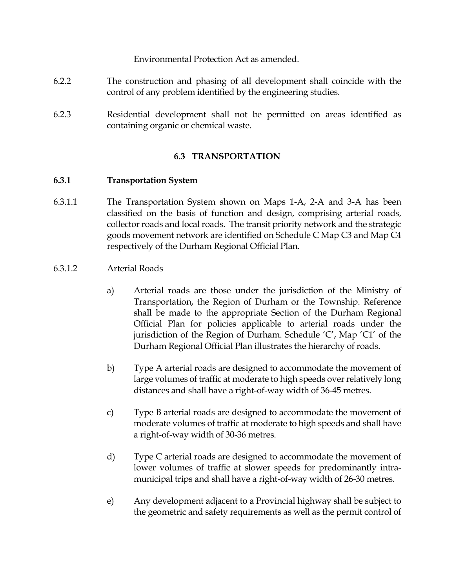Environmental Protection Act as amended.

- 6.2.2 The construction and phasing of all development shall coincide with the control of any problem identified by the engineering studies.
- 6.2.3 Residential development shall not be permitted on areas identified as containing organic or chemical waste.

## **6.3 TRANSPORTATION**

## **6.3.1 Transportation System**

- 6.3.1.1 The Transportation System shown on Maps 1-A, 2-A and 3-A has been classified on the basis of function and design, comprising arterial roads, collector roads and local roads. The transit priority network and the strategic goods movement network are identified on Schedule C Map C3 and Map C4 respectively of the Durham Regional Official Plan.
- 6.3.1.2 Arterial Roads
	- a) Arterial roads are those under the jurisdiction of the Ministry of Transportation, the Region of Durham or the Township. Reference shall be made to the appropriate Section of the Durham Regional Official Plan for policies applicable to arterial roads under the jurisdiction of the Region of Durham. Schedule 'C', Map 'C1' of the Durham Regional Official Plan illustrates the hierarchy of roads.
	- b) Type A arterial roads are designed to accommodate the movement of large volumes of traffic at moderate to high speeds over relatively long distances and shall have a right-of-way width of 36-45 metres.
	- c) Type B arterial roads are designed to accommodate the movement of moderate volumes of traffic at moderate to high speeds and shall have a right-of-way width of 30-36 metres.
	- d) Type C arterial roads are designed to accommodate the movement of lower volumes of traffic at slower speeds for predominantly intramunicipal trips and shall have a right-of-way width of 26-30 metres.
	- e) Any development adjacent to a Provincial highway shall be subject to the geometric and safety requirements as well as the permit control of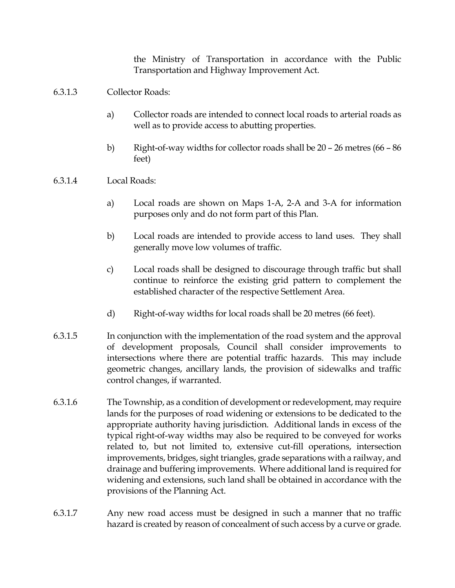the Ministry of Transportation in accordance with the Public Transportation and Highway Improvement Act.

## 6.3.1.3 Collector Roads:

- a) Collector roads are intended to connect local roads to arterial roads as well as to provide access to abutting properties.
- b) Right-of-way widths for collector roads shall be 20 26 metres (66 86 feet)

## 6.3.1.4 Local Roads:

- a) Local roads are shown on Maps 1-A, 2-A and 3-A for information purposes only and do not form part of this Plan.
- b) Local roads are intended to provide access to land uses. They shall generally move low volumes of traffic.
- c) Local roads shall be designed to discourage through traffic but shall continue to reinforce the existing grid pattern to complement the established character of the respective Settlement Area.
- d) Right-of-way widths for local roads shall be 20 metres (66 feet).
- 6.3.1.5 In conjunction with the implementation of the road system and the approval of development proposals, Council shall consider improvements to intersections where there are potential traffic hazards. This may include geometric changes, ancillary lands, the provision of sidewalks and traffic control changes, if warranted.
- 6.3.1.6 The Township, as a condition of development or redevelopment, may require lands for the purposes of road widening or extensions to be dedicated to the appropriate authority having jurisdiction. Additional lands in excess of the typical right-of-way widths may also be required to be conveyed for works related to, but not limited to, extensive cut-fill operations, intersection improvements, bridges, sight triangles, grade separations with a railway, and drainage and buffering improvements. Where additional land is required for widening and extensions, such land shall be obtained in accordance with the provisions of the Planning Act.
- 6.3.1.7 Any new road access must be designed in such a manner that no traffic hazard is created by reason of concealment of such access by a curve or grade.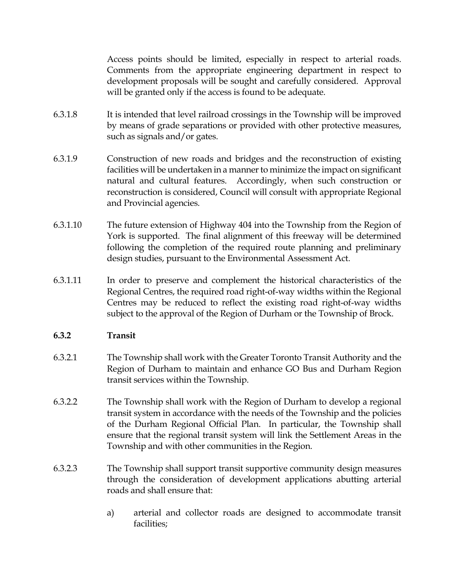Access points should be limited, especially in respect to arterial roads. Comments from the appropriate engineering department in respect to development proposals will be sought and carefully considered. Approval will be granted only if the access is found to be adequate.

- 6.3.1.8 It is intended that level railroad crossings in the Township will be improved by means of grade separations or provided with other protective measures, such as signals and/or gates.
- 6.3.1.9 Construction of new roads and bridges and the reconstruction of existing facilities will be undertaken in a manner to minimize the impact on significant natural and cultural features. Accordingly, when such construction or reconstruction is considered, Council will consult with appropriate Regional and Provincial agencies.
- 6.3.1.10 The future extension of Highway 404 into the Township from the Region of York is supported. The final alignment of this freeway will be determined following the completion of the required route planning and preliminary design studies, pursuant to the Environmental Assessment Act.
- 6.3.1.11 In order to preserve and complement the historical characteristics of the Regional Centres, the required road right-of-way widths within the Regional Centres may be reduced to reflect the existing road right-of-way widths subject to the approval of the Region of Durham or the Township of Brock.

## **6.3.2 Transit**

- 6.3.2.1 The Township shall work with the Greater Toronto Transit Authority and the Region of Durham to maintain and enhance GO Bus and Durham Region transit services within the Township.
- 6.3.2.2 The Township shall work with the Region of Durham to develop a regional transit system in accordance with the needs of the Township and the policies of the Durham Regional Official Plan. In particular, the Township shall ensure that the regional transit system will link the Settlement Areas in the Township and with other communities in the Region.
- 6.3.2.3 The Township shall support transit supportive community design measures through the consideration of development applications abutting arterial roads and shall ensure that:
	- a) arterial and collector roads are designed to accommodate transit facilities;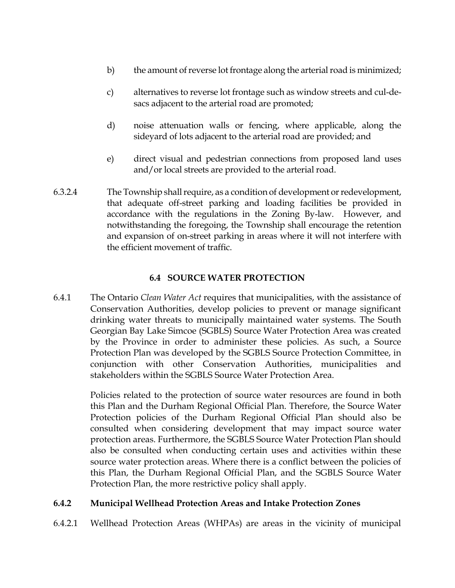- b) the amount of reverse lot frontage along the arterial road is minimized;
- c) alternatives to reverse lot frontage such as window streets and cul-desacs adjacent to the arterial road are promoted;
- d) noise attenuation walls or fencing, where applicable, along the sideyard of lots adjacent to the arterial road are provided; and
- e) direct visual and pedestrian connections from proposed land uses and/or local streets are provided to the arterial road.
- 6.3.2.4 The Township shall require, as a condition of development or redevelopment, that adequate off-street parking and loading facilities be provided in accordance with the regulations in the Zoning By-law. However, and notwithstanding the foregoing, the Township shall encourage the retention and expansion of on-street parking in areas where it will not interfere with the efficient movement of traffic.

# **6.4 SOURCE WATER PROTECTION**

6.4.1 The Ontario *Clean Water Act* requires that municipalities, with the assistance of Conservation Authorities, develop policies to prevent or manage significant drinking water threats to municipally maintained water systems. The South Georgian Bay Lake Simcoe (SGBLS) Source Water Protection Area was created by the Province in order to administer these policies. As such, a Source Protection Plan was developed by the SGBLS Source Protection Committee, in conjunction with other Conservation Authorities, municipalities and stakeholders within the SGBLS Source Water Protection Area.

> Policies related to the protection of source water resources are found in both this Plan and the Durham Regional Official Plan. Therefore, the Source Water Protection policies of the Durham Regional Official Plan should also be consulted when considering development that may impact source water protection areas. Furthermore, the SGBLS Source Water Protection Plan should also be consulted when conducting certain uses and activities within these source water protection areas. Where there is a conflict between the policies of this Plan, the Durham Regional Official Plan, and the SGBLS Source Water Protection Plan, the more restrictive policy shall apply.

## **6.4.2 Municipal Wellhead Protection Areas and Intake Protection Zones**

6.4.2.1 Wellhead Protection Areas (WHPAs) are areas in the vicinity of municipal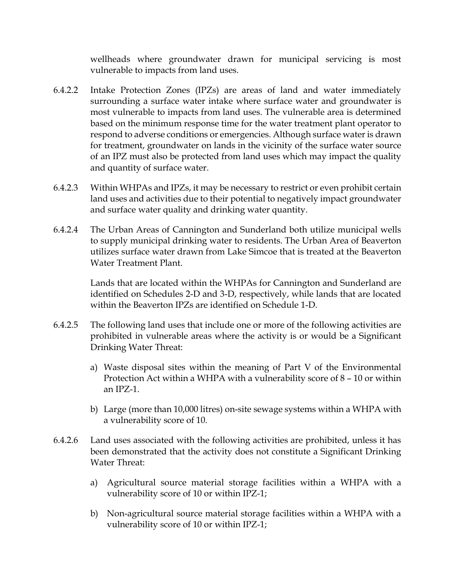wellheads where groundwater drawn for municipal servicing is most vulnerable to impacts from land uses.

- 6.4.2.2 Intake Protection Zones (IPZs) are areas of land and water immediately surrounding a surface water intake where surface water and groundwater is most vulnerable to impacts from land uses. The vulnerable area is determined based on the minimum response time for the water treatment plant operator to respond to adverse conditions or emergencies. Although surface water is drawn for treatment, groundwater on lands in the vicinity of the surface water source of an IPZ must also be protected from land uses which may impact the quality and quantity of surface water.
- 6.4.2.3 Within WHPAs and IPZs, it may be necessary to restrict or even prohibit certain land uses and activities due to their potential to negatively impact groundwater and surface water quality and drinking water quantity.
- 6.4.2.4 The Urban Areas of Cannington and Sunderland both utilize municipal wells to supply municipal drinking water to residents. The Urban Area of Beaverton utilizes surface water drawn from Lake Simcoe that is treated at the Beaverton Water Treatment Plant.

Lands that are located within the WHPAs for Cannington and Sunderland are identified on Schedules 2-D and 3-D, respectively, while lands that are located within the Beaverton IPZs are identified on Schedule 1-D.

- 6.4.2.5 The following land uses that include one or more of the following activities are prohibited in vulnerable areas where the activity is or would be a Significant Drinking Water Threat:
	- a) Waste disposal sites within the meaning of Part V of the Environmental Protection Act within a WHPA with a vulnerability score of 8 – 10 or within an IPZ-1.
	- b) Large (more than 10,000 litres) on-site sewage systems within a WHPA with a vulnerability score of 10.
- 6.4.2.6 Land uses associated with the following activities are prohibited, unless it has been demonstrated that the activity does not constitute a Significant Drinking Water Threat:
	- a) Agricultural source material storage facilities within a WHPA with a vulnerability score of 10 or within IPZ-1;
	- b) Non-agricultural source material storage facilities within a WHPA with a vulnerability score of 10 or within IPZ-1;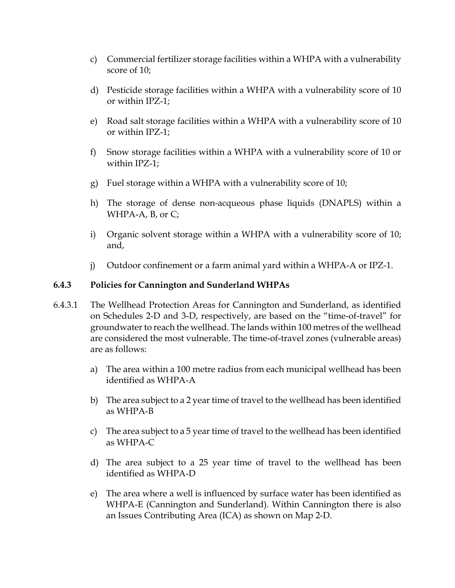- c) Commercial fertilizer storage facilities within a WHPA with a vulnerability score of 10;
- d) Pesticide storage facilities within a WHPA with a vulnerability score of 10 or within IPZ-1;
- e) Road salt storage facilities within a WHPA with a vulnerability score of 10 or within IPZ-1;
- f) Snow storage facilities within a WHPA with a vulnerability score of 10 or within IPZ-1;
- g) Fuel storage within a WHPA with a vulnerability score of 10;
- h) The storage of dense non-acqueous phase liquids (DNAPLS) within a WHPA-A, B, or C;
- i) Organic solvent storage within a WHPA with a vulnerability score of 10; and,
- j) Outdoor confinement or a farm animal yard within a WHPA-A or IPZ-1.

## **6.4.3 Policies for Cannington and Sunderland WHPAs**

- 6.4.3.1 The Wellhead Protection Areas for Cannington and Sunderland, as identified on Schedules 2-D and 3-D, respectively, are based on the "time-of-travel" for groundwater to reach the wellhead. The lands within 100 metres of the wellhead are considered the most vulnerable. The time-of-travel zones (vulnerable areas) are as follows:
	- a) The area within a 100 metre radius from each municipal wellhead has been identified as WHPA-A
	- b) The area subject to a 2 year time of travel to the wellhead has been identified as WHPA-B
	- c) The area subject to a 5 year time of travel to the wellhead has been identified as WHPA-C
	- d) The area subject to a 25 year time of travel to the wellhead has been identified as WHPA-D
	- e) The area where a well is influenced by surface water has been identified as WHPA-E (Cannington and Sunderland). Within Cannington there is also an Issues Contributing Area (ICA) as shown on Map 2-D.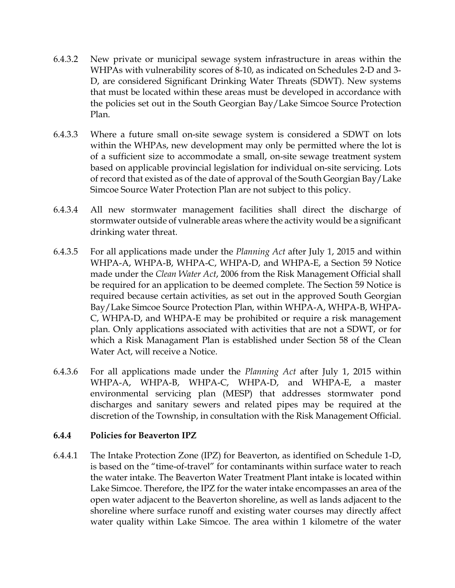- 6.4.3.2 New private or municipal sewage system infrastructure in areas within the WHPAs with vulnerability scores of 8-10, as indicated on Schedules 2-D and 3- D, are considered Significant Drinking Water Threats (SDWT). New systems that must be located within these areas must be developed in accordance with the policies set out in the South Georgian Bay/Lake Simcoe Source Protection Plan.
- 6.4.3.3 Where a future small on-site sewage system is considered a SDWT on lots within the WHPAs, new development may only be permitted where the lot is of a sufficient size to accommodate a small, on-site sewage treatment system based on applicable provincial legislation for individual on-site servicing. Lots of record that existed as of the date of approval of the South Georgian Bay/Lake Simcoe Source Water Protection Plan are not subject to this policy.
- 6.4.3.4 All new stormwater management facilities shall direct the discharge of stormwater outside of vulnerable areas where the activity would be a significant drinking water threat.
- 6.4.3.5 For all applications made under the *Planning Act* after July 1, 2015 and within WHPA-A, WHPA-B, WHPA-C, WHPA-D, and WHPA-E, a Section 59 Notice made under the *Clean Water Act*, 2006 from the Risk Management Official shall be required for an application to be deemed complete. The Section 59 Notice is required because certain activities, as set out in the approved South Georgian Bay/Lake Simcoe Source Protection Plan, within WHPA-A, WHPA-B, WHPA-C, WHPA-D, and WHPA-E may be prohibited or require a risk management plan. Only applications associated with activities that are not a SDWT, or for which a Risk Managament Plan is established under Section 58 of the Clean Water Act, will receive a Notice.
- 6.4.3.6 For all applications made under the *Planning Act* after July 1, 2015 within WHPA-A, WHPA-B, WHPA-C, WHPA-D, and WHPA-E, a master environmental servicing plan (MESP) that addresses stormwater pond discharges and sanitary sewers and related pipes may be required at the discretion of the Township, in consultation with the Risk Management Official.

## **6.4.4 Policies for Beaverton IPZ**

6.4.4.1 The Intake Protection Zone (IPZ) for Beaverton, as identified on Schedule 1-D, is based on the "time-of-travel" for contaminants within surface water to reach the water intake. The Beaverton Water Treatment Plant intake is located within Lake Simcoe. Therefore, the IPZ for the water intake encompasses an area of the open water adjacent to the Beaverton shoreline, as well as lands adjacent to the shoreline where surface runoff and existing water courses may directly affect water quality within Lake Simcoe. The area within 1 kilometre of the water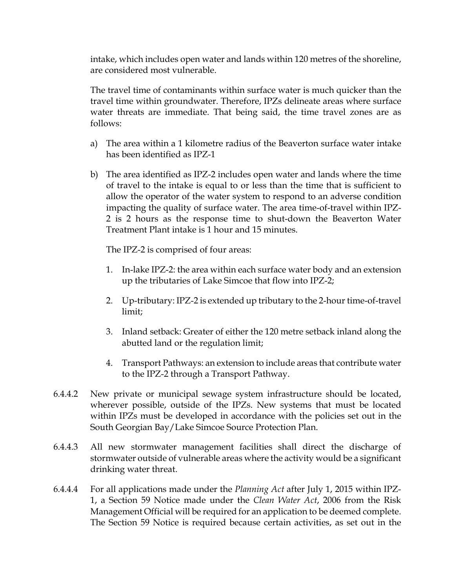intake, which includes open water and lands within 120 metres of the shoreline, are considered most vulnerable.

The travel time of contaminants within surface water is much quicker than the travel time within groundwater. Therefore, IPZs delineate areas where surface water threats are immediate. That being said, the time travel zones are as follows:

- a) The area within a 1 kilometre radius of the Beaverton surface water intake has been identified as IPZ-1
- b) The area identified as IPZ-2 includes open water and lands where the time of travel to the intake is equal to or less than the time that is sufficient to allow the operator of the water system to respond to an adverse condition impacting the quality of surface water. The area time-of-travel within IPZ-2 is 2 hours as the response time to shut-down the Beaverton Water Treatment Plant intake is 1 hour and 15 minutes.

The IPZ-2 is comprised of four areas:

- 1. In-lake IPZ-2: the area within each surface water body and an extension up the tributaries of Lake Simcoe that flow into IPZ-2;
- 2. Up-tributary: IPZ-2 is extended up tributary to the 2-hour time-of-travel limit;
- 3. Inland setback: Greater of either the 120 metre setback inland along the abutted land or the regulation limit;
- 4. Transport Pathways: an extension to include areas that contribute water to the IPZ-2 through a Transport Pathway.
- 6.4.4.2 New private or municipal sewage system infrastructure should be located, wherever possible, outside of the IPZs. New systems that must be located within IPZs must be developed in accordance with the policies set out in the South Georgian Bay/Lake Simcoe Source Protection Plan.
- 6.4.4.3 All new stormwater management facilities shall direct the discharge of stormwater outside of vulnerable areas where the activity would be a significant drinking water threat.
- 6.4.4.4 For all applications made under the *Planning Act* after July 1, 2015 within IPZ-1, a Section 59 Notice made under the *Clean Water Act*, 2006 from the Risk Management Official will be required for an application to be deemed complete. The Section 59 Notice is required because certain activities, as set out in the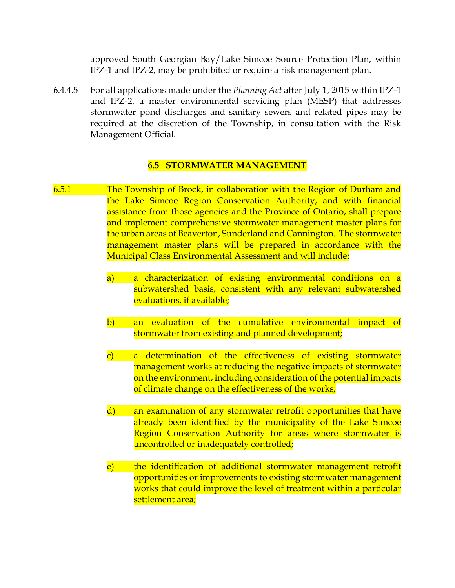approved South Georgian Bay/Lake Simcoe Source Protection Plan, within IPZ-1 and IPZ-2, may be prohibited or require a risk management plan.

6.4.4.5 For all applications made under the *Planning Act* after July 1, 2015 within IPZ-1 and IPZ-2, a master environmental servicing plan (MESP) that addresses stormwater pond discharges and sanitary sewers and related pipes may be required at the discretion of the Township, in consultation with the Risk Management Official.

## **6.5 STORMWATER MANAGEMENT**

- 6.5.1 The Township of Brock, in collaboration with the Region of Durham and the Lake Simcoe Region Conservation Authority, and with financial assistance from those agencies and the Province of Ontario, shall prepare and implement comprehensive stormwater management master plans for the urban areas of Beaverton, Sunderland and Cannington. The stormwater management master plans will be prepared in accordance with the Municipal Class Environmental Assessment and will include:
	- a) a characterization of existing environmental conditions on a subwatershed basis, consistent with any relevant subwatershed evaluations, if available;
	- b) an evaluation of the cumulative environmental impact of stormwater from existing and planned development;
	- c) a determination of the effectiveness of existing stormwater management works at reducing the negative impacts of stormwater on the environment, including consideration of the potential impacts of climate change on the effectiveness of the works;
	- d) an examination of any stormwater retrofit opportunities that have already been identified by the municipality of the Lake Simcoe Region Conservation Authority for areas where stormwater is uncontrolled or inadequately controlled;
	- e) the identification of additional stormwater management retrofit opportunities or improvements to existing stormwater management works that could improve the level of treatment within a particular settlement area;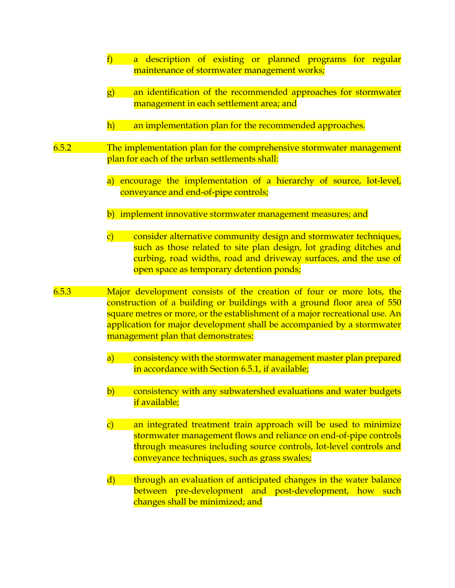|       | f<br>a description of existing or planned programs for regular<br>maintenance of stormwater management works;                                                                                                                                                                                                                                  |
|-------|------------------------------------------------------------------------------------------------------------------------------------------------------------------------------------------------------------------------------------------------------------------------------------------------------------------------------------------------|
|       | $\left  {\bf g}\right\rangle$<br>an identification of the recommended approaches for stormwater<br>management in each settlement area; and                                                                                                                                                                                                     |
|       | h)<br>an implementation plan for the recommended approaches.                                                                                                                                                                                                                                                                                   |
| 6.5.2 | The implementation plan for the comprehensive stormwater management<br>plan for each of the urban settlements shall:                                                                                                                                                                                                                           |
|       | encourage the implementation of a hierarchy of source, lot-level,<br>a)<br>conveyance and end-of-pipe controls;                                                                                                                                                                                                                                |
|       | b) implement innovative stormwater management measures; and                                                                                                                                                                                                                                                                                    |
|       | $\mathbf{C}$<br>consider alternative community design and stormwater techniques,<br>such as those related to site plan design, lot grading ditches and<br>curbing, road widths, road and driveway surfaces, and the use of<br>open space as temporary detention ponds;                                                                         |
| 6.5.3 | Major development consists of the creation of four or more lots, the<br>construction of a building or buildings with a ground floor area of 550<br>square metres or more, or the establishment of a major recreational use. An<br>application for major development shall be accompanied by a stormwater<br>management plan that demonstrates: |
|       | $\bf{a}$<br>consistency with the stormwater management master plan prepared<br>in accordance with Section 6.5.1, if available;                                                                                                                                                                                                                 |
|       | $\left b\right)$<br>consistency with any subwatershed evaluations and water budgets<br>if available;                                                                                                                                                                                                                                           |
|       | $\mathbf{c})$<br>an integrated treatment train approach will be used to minimize<br>stormwater management flows and reliance on end-of-pipe controls<br>through measures including source controls, lot-level controls and<br>conveyance techniques, such as grass swales;                                                                     |
|       | $\mathbf{d}$<br>through an evaluation of anticipated changes in the water balance<br>between pre-development and post-development, how such<br>changes shall be minimized; and                                                                                                                                                                 |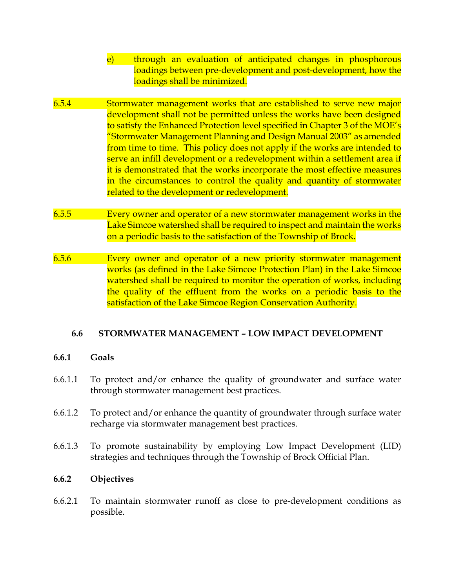- e) through an evaluation of anticipated changes in phosphorous loadings between pre-development and post-development, how the loadings shall be minimized.
- 6.5.4 Stormwater management works that are established to serve new major development shall not be permitted unless the works have been designed to satisfy the Enhanced Protection level specified in Chapter 3 of the MOE's "Stormwater Management Planning and Design Manual 2003" as amended from time to time. This policy does not apply if the works are intended to serve an infill development or a redevelopment within a settlement area if it is demonstrated that the works incorporate the most effective measures in the circumstances to control the quality and quantity of stormwater related to the development or redevelopment.
- 6.5.5 Every owner and operator of a new stormwater management works in the Lake Simcoe watershed shall be required to inspect and maintain the works on a periodic basis to the satisfaction of the Township of Brock.
- 6.5.6 Every owner and operator of a new priority stormwater management works (as defined in the Lake Simcoe Protection Plan) in the Lake Simcoe watershed shall be required to monitor the operation of works, including the quality of the effluent from the works on a periodic basis to the satisfaction of the Lake Simcoe Region Conservation Authority.

## **6.6 STORMWATER MANAGEMENT – LOW IMPACT DEVELOPMENT**

## **6.6.1 Goals**

- 6.6.1.1 To protect and/or enhance the quality of groundwater and surface water through stormwater management best practices.
- 6.6.1.2 To protect and/or enhance the quantity of groundwater through surface water recharge via stormwater management best practices.
- 6.6.1.3 To promote sustainability by employing Low Impact Development (LID) strategies and techniques through the Township of Brock Official Plan.

## **6.6.2 Objectives**

6.6.2.1 To maintain stormwater runoff as close to pre-development conditions as possible.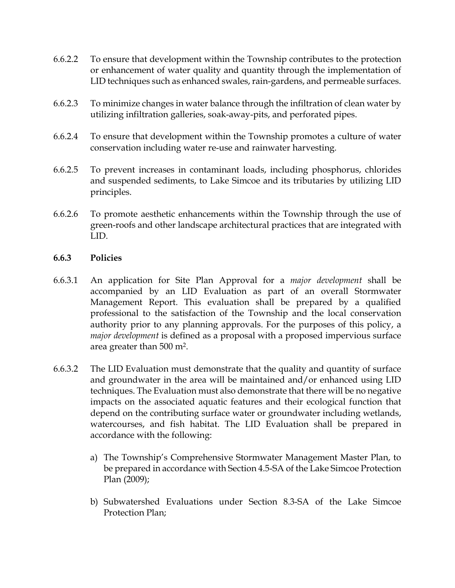- 6.6.2.2 To ensure that development within the Township contributes to the protection or enhancement of water quality and quantity through the implementation of LID techniques such as enhanced swales, rain-gardens, and permeable surfaces.
- 6.6.2.3 To minimize changes in water balance through the infiltration of clean water by utilizing infiltration galleries, soak-away-pits, and perforated pipes.
- 6.6.2.4 To ensure that development within the Township promotes a culture of water conservation including water re-use and rainwater harvesting.
- 6.6.2.5 To prevent increases in contaminant loads, including phosphorus, chlorides and suspended sediments, to Lake Simcoe and its tributaries by utilizing LID principles.
- 6.6.2.6 To promote aesthetic enhancements within the Township through the use of green-roofs and other landscape architectural practices that are integrated with LID.

#### **6.6.3 Policies**

- 6.6.3.1 An application for Site Plan Approval for a *major development* shall be accompanied by an LID Evaluation as part of an overall Stormwater Management Report. This evaluation shall be prepared by a qualified professional to the satisfaction of the Township and the local conservation authority prior to any planning approvals. For the purposes of this policy, a *major development* is defined as a proposal with a proposed impervious surface area greater than 500 m2.
- 6.6.3.2 The LID Evaluation must demonstrate that the quality and quantity of surface and groundwater in the area will be maintained and/or enhanced using LID techniques. The Evaluation must also demonstrate that there will be no negative impacts on the associated aquatic features and their ecological function that depend on the contributing surface water or groundwater including wetlands, watercourses, and fish habitat. The LID Evaluation shall be prepared in accordance with the following:
	- a) The Township's Comprehensive Stormwater Management Master Plan, to be prepared in accordance with Section 4.5-SA of the Lake Simcoe Protection Plan (2009);
	- b) Subwatershed Evaluations under Section 8.3-SA of the Lake Simcoe Protection Plan;